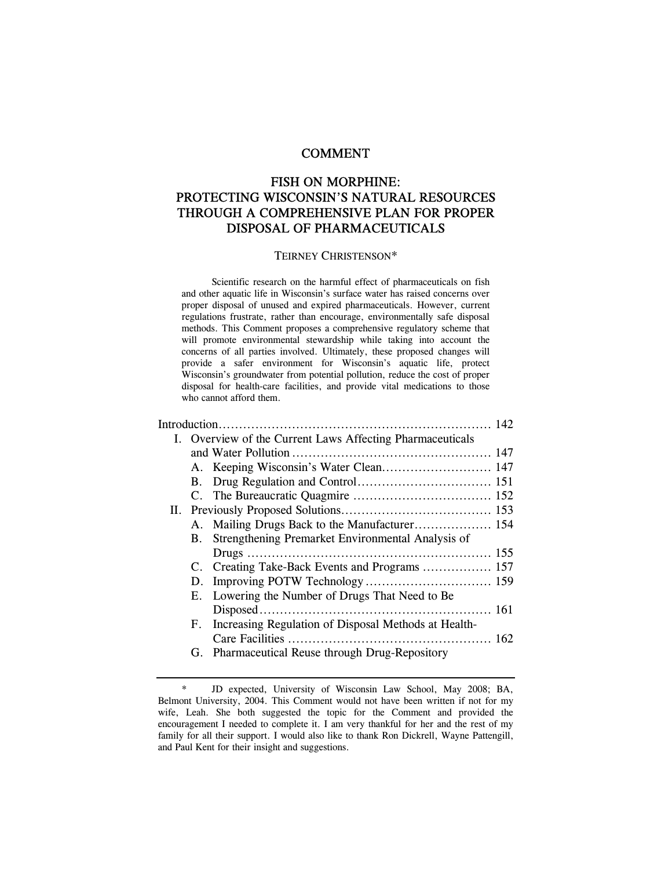# COMMENT

# FISH ON MORPHINE: PROTECTING WISCONSIN'S NATURAL RESOURCES THROUGH A COMPREHENSIVE PLAN FOR PROPER DISPOSAL OF PHARMACEUTICALS

#### TEIRNEY CHRISTENSON\*

 Scientific research on the harmful effect of pharmaceuticals on fish and other aquatic life in Wisconsin's surface water has raised concerns over proper disposal of unused and expired pharmaceuticals. However, current regulations frustrate, rather than encourage, environmentally safe disposal methods. This Comment proposes a comprehensive regulatory scheme that will promote environmental stewardship while taking into account the concerns of all parties involved. Ultimately, these proposed changes will provide a safer environment for Wisconsin's aquatic life, protect Wisconsin's groundwater from potential pollution, reduce the cost of proper disposal for health-care facilities, and provide vital medications to those who cannot afford them.

| I. Overview of the Current Laws Affecting Pharmaceuticals |                                                         |  |  |  |  |
|-----------------------------------------------------------|---------------------------------------------------------|--|--|--|--|
|                                                           |                                                         |  |  |  |  |
|                                                           | A. Keeping Wisconsin's Water Clean 147                  |  |  |  |  |
|                                                           |                                                         |  |  |  |  |
|                                                           |                                                         |  |  |  |  |
|                                                           |                                                         |  |  |  |  |
|                                                           |                                                         |  |  |  |  |
|                                                           | B. Strengthening Premarket Environmental Analysis of    |  |  |  |  |
|                                                           |                                                         |  |  |  |  |
|                                                           |                                                         |  |  |  |  |
| D.                                                        |                                                         |  |  |  |  |
|                                                           | E. Lowering the Number of Drugs That Need to Be.        |  |  |  |  |
|                                                           |                                                         |  |  |  |  |
|                                                           | F. Increasing Regulation of Disposal Methods at Health- |  |  |  |  |
|                                                           |                                                         |  |  |  |  |
|                                                           | G. Pharmaceutical Reuse through Drug-Repository         |  |  |  |  |

<sup>\*</sup> JD expected, University of Wisconsin Law School, May 2008; BA, Belmont University, 2004. This Comment would not have been written if not for my wife, Leah. She both suggested the topic for the Comment and provided the encouragement I needed to complete it. I am very thankful for her and the rest of my family for all their support. I would also like to thank Ron Dickrell, Wayne Pattengill, and Paul Kent for their insight and suggestions.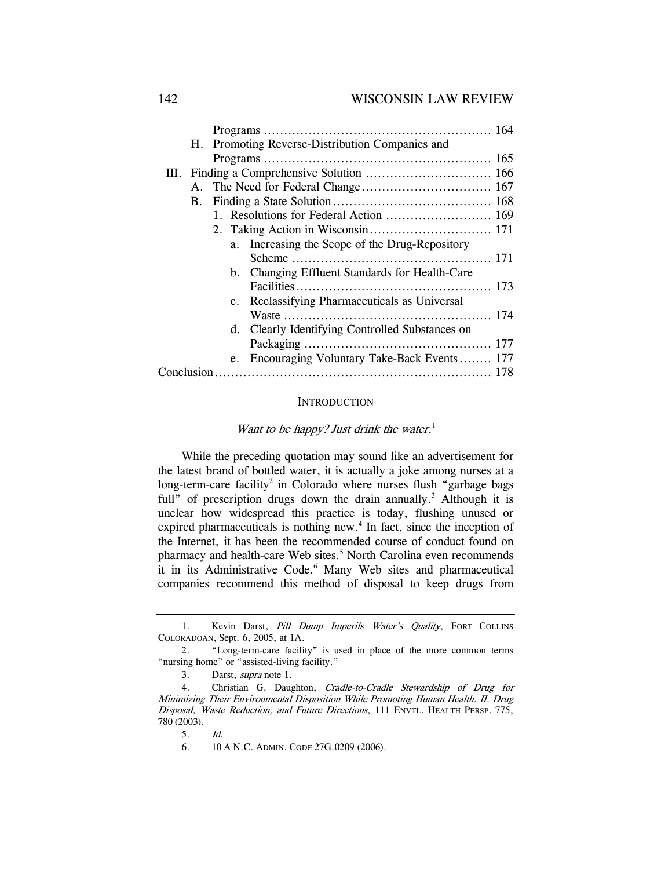|  | H. Promoting Reverse-Distribution Companies and |    |                                                 |  |  |
|--|-------------------------------------------------|----|-------------------------------------------------|--|--|
|  |                                                 |    |                                                 |  |  |
|  |                                                 |    |                                                 |  |  |
|  | $A_{\cdot}$                                     |    |                                                 |  |  |
|  | <b>B.</b>                                       |    |                                                 |  |  |
|  |                                                 |    | 1. Resolutions for Federal Action  169          |  |  |
|  |                                                 |    |                                                 |  |  |
|  |                                                 | a. | Increasing the Scope of the Drug-Repository     |  |  |
|  |                                                 |    |                                                 |  |  |
|  |                                                 |    | b. Changing Effluent Standards for Health-Care  |  |  |
|  |                                                 |    |                                                 |  |  |
|  |                                                 |    | c. Reclassifying Pharmaceuticals as Universal   |  |  |
|  |                                                 |    |                                                 |  |  |
|  |                                                 |    | d. Clearly Identifying Controlled Substances on |  |  |
|  |                                                 |    |                                                 |  |  |
|  |                                                 | e. | Encouraging Voluntary Take-Back Events 177      |  |  |
|  |                                                 |    |                                                 |  |  |

#### **INTRODUCTION**

# Want to be happy? Just drink the water.<sup>1</sup>

While the preceding quotation may sound like an advertisement for the latest brand of bottled water, it is actually a joke among nurses at a long-term-care facility<sup>2</sup> in Colorado where nurses flush "garbage bags full" of prescription drugs down the drain annually.<sup>3</sup> Although it is unclear how widespread this practice is today, flushing unused or expired pharmaceuticals is nothing new.<sup>4</sup> In fact, since the inception of the Internet, it has been the recommended course of conduct found on pharmacy and health-care Web sites.<sup>5</sup> North Carolina even recommends it in its Administrative Code.<sup>6</sup> Many Web sites and pharmaceutical companies recommend this method of disposal to keep drugs from

<sup>1.</sup> Kevin Darst, Pill Dump Imperils Water's Quality, FORT COLLINS COLORADOAN, Sept. 6, 2005, at 1A.

 <sup>2. &</sup>quot;Long-term-care facility" is used in place of the more common terms "nursing home" or "assisted-living facility."

<sup>3.</sup> Darst, supra note 1.

 <sup>4.</sup> Christian G. Daughton, Cradle-to-Cradle Stewardship of Drug for Minimizing Their Environmental Disposition While Promoting Human Health. II. Drug Disposal, Waste Reduction, and Future Directions, 111 ENVTL. HEALTH PERSP. 775, 780 (2003).

<sup>5.</sup> Id.

 <sup>6. 10</sup> A N.C. ADMIN. CODE 27G.0209 (2006).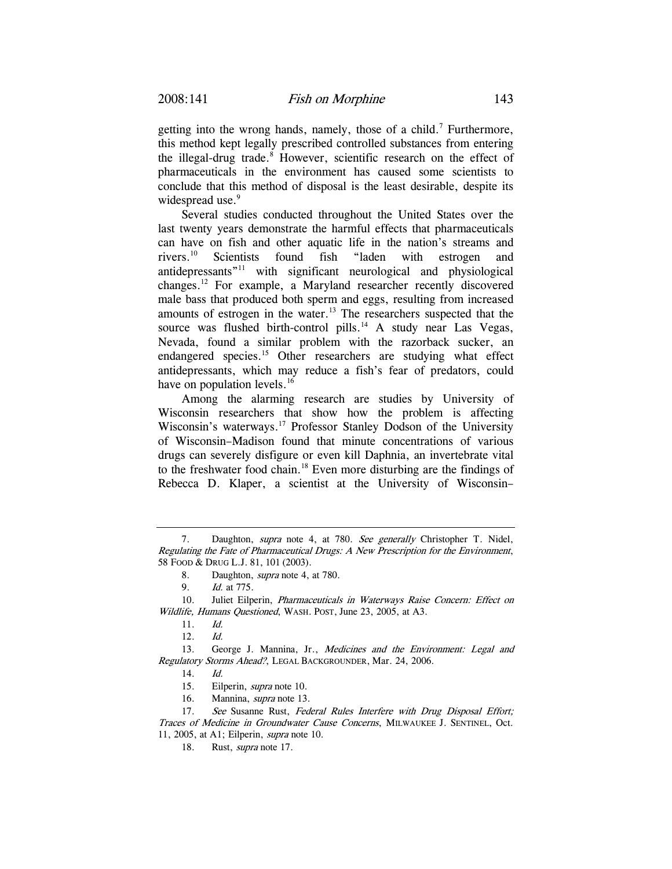getting into the wrong hands, namely, those of a child.<sup>7</sup> Furthermore, this method kept legally prescribed controlled substances from entering the illegal-drug trade.<sup>8</sup> However, scientific research on the effect of pharmaceuticals in the environment has caused some scientists to conclude that this method of disposal is the least desirable, despite its widespread use.<sup>9</sup>

Several studies conducted throughout the United States over the last twenty years demonstrate the harmful effects that pharmaceuticals can have on fish and other aquatic life in the nation's streams and rivers.10 Scientists found fish "laden with estrogen and antidepressants"11 with significant neurological and physiological changes.12 For example, a Maryland researcher recently discovered male bass that produced both sperm and eggs, resulting from increased amounts of estrogen in the water.<sup>13</sup> The researchers suspected that the source was flushed birth-control pills.<sup>14</sup> A study near Las Vegas, Nevada, found a similar problem with the razorback sucker, an endangered species.<sup>15</sup> Other researchers are studying what effect antidepressants, which may reduce a fish's fear of predators, could have on population levels.<sup>16</sup>

Among the alarming research are studies by University of Wisconsin researchers that show how the problem is affecting Wisconsin's waterways.<sup>17</sup> Professor Stanley Dodson of the University of Wisconsin–Madison found that minute concentrations of various drugs can severely disfigure or even kill Daphnia, an invertebrate vital to the freshwater food chain.18 Even more disturbing are the findings of Rebecca D. Klaper, a scientist at the University of Wisconsin–

16. Mannina, supra note 13.

<sup>7.</sup> Daughton, *supra* note 4, at 780. See generally Christopher T. Nidel, Regulating the Fate of Pharmaceutical Drugs: A New Prescription for the Environment, 58 FOOD & DRUG L.J. 81, 101 (2003).

<sup>8.</sup> Daughton, supra note 4, at 780.

<sup>9.</sup> Id. at 775.

<sup>10.</sup> Juliet Eilperin, *Pharmaceuticals in Waterways Raise Concern: Effect on* Wildlife, Humans Questioned, WASH. POST, June 23, 2005, at A3.

<sup>11.</sup> Id.

<sup>12.</sup> Id.

 <sup>13.</sup> George J. Mannina, Jr., Medicines and the Environment: Legal and Regulatory Storms Ahead?, LEGAL BACKGROUNDER, Mar. 24, 2006.

<sup>14.</sup> Id.

 <sup>15.</sup> Eilperin, supra note 10.

<sup>17.</sup> See Susanne Rust, Federal Rules Interfere with Drug Disposal Effort; Traces of Medicine in Groundwater Cause Concerns, MILWAUKEE J. SENTINEL, Oct. 11, 2005, at A1; Eilperin, *supra* note 10.

<sup>18.</sup> Rust, *supra* note 17.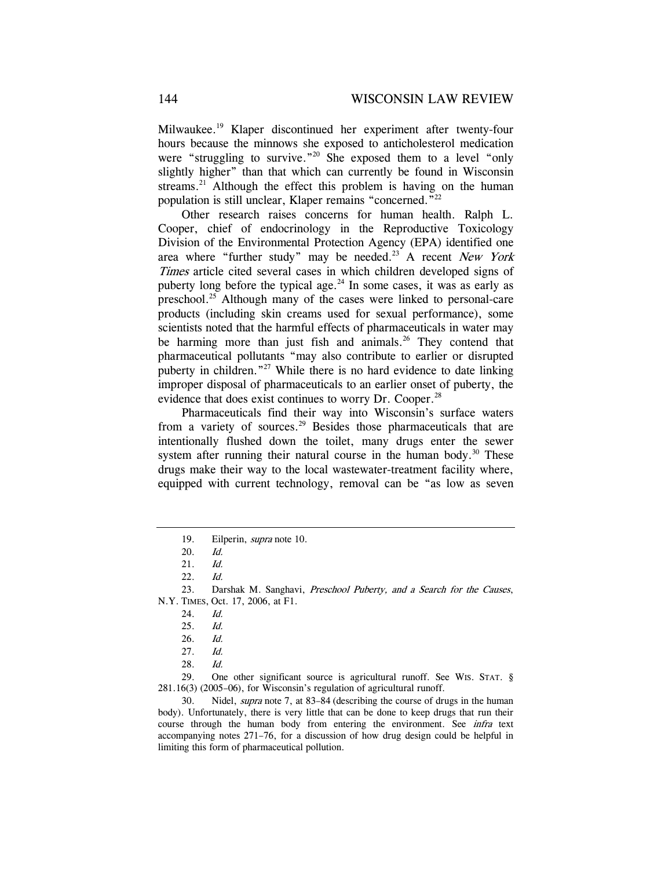Milwaukee.19 Klaper discontinued her experiment after twenty-four hours because the minnows she exposed to anticholesterol medication were "struggling to survive."<sup>20</sup> She exposed them to a level "only slightly higher" than that which can currently be found in Wisconsin streams.<sup>21</sup> Although the effect this problem is having on the human population is still unclear, Klaper remains "concerned."22

Other research raises concerns for human health. Ralph L. Cooper, chief of endocrinology in the Reproductive Toxicology Division of the Environmental Protection Agency (EPA) identified one area where "further study" may be needed.<sup>23</sup> A recent *New York* Times article cited several cases in which children developed signs of puberty long before the typical age. $^{24}$  In some cases, it was as early as preschool.25 Although many of the cases were linked to personal-care products (including skin creams used for sexual performance), some scientists noted that the harmful effects of pharmaceuticals in water may be harming more than just fish and animals.<sup>26</sup> They contend that pharmaceutical pollutants "may also contribute to earlier or disrupted puberty in children."27 While there is no hard evidence to date linking improper disposal of pharmaceuticals to an earlier onset of puberty, the evidence that does exist continues to worry Dr. Cooper.<sup>28</sup>

Pharmaceuticals find their way into Wisconsin's surface waters from a variety of sources.<sup>29</sup> Besides those pharmaceuticals that are intentionally flushed down the toilet, many drugs enter the sewer system after running their natural course in the human body. $30$  These drugs make their way to the local wastewater-treatment facility where, equipped with current technology, removal can be "as low as seven

 30. Nidel, supra note 7, at 83–84 (describing the course of drugs in the human body). Unfortunately, there is very little that can be done to keep drugs that run their course through the human body from entering the environment. See *infra* text accompanying notes 271–76, for a discussion of how drug design could be helpful in limiting this form of pharmaceutical pollution.

 <sup>19.</sup> Eilperin, supra note 10.

<sup>20.</sup> Id.

<sup>21.</sup> Id.

<sup>22.</sup> Id.

<sup>23.</sup> Darshak M. Sanghavi, Preschool Puberty, and a Search for the Causes, N.Y. TIMES, Oct. 17, 2006, at F1.

<sup>24.</sup> Id.

<sup>25.</sup> Id.

<sup>26.</sup> Id.

<sup>27.</sup> Id.

<sup>28.</sup> Id.

 <sup>29.</sup> One other significant source is agricultural runoff. See WIS. STAT. § 281.16(3) (2005–06), for Wisconsin's regulation of agricultural runoff.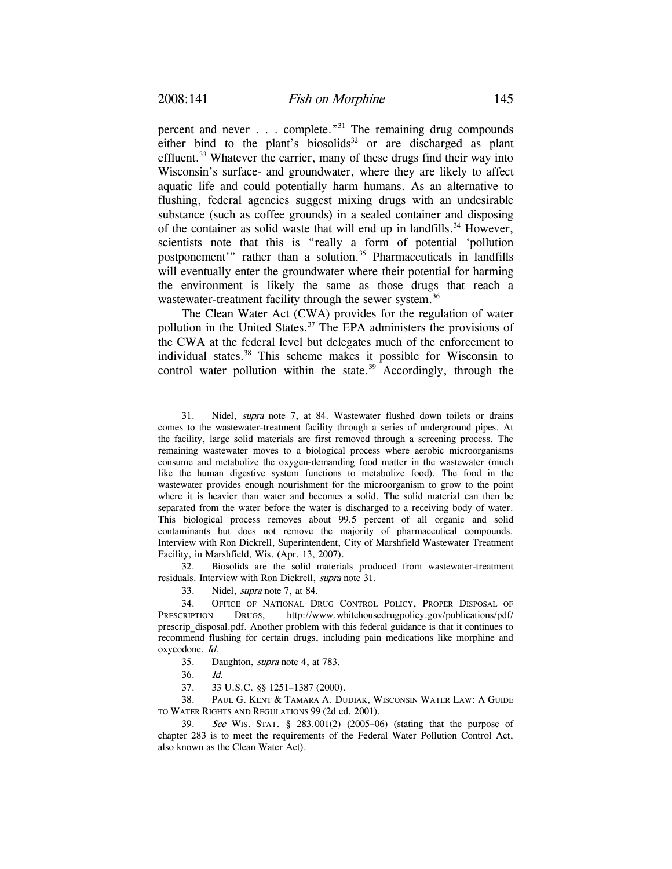percent and never  $\ldots$  complete.<sup>"31</sup> The remaining drug compounds either bind to the plant's biosolids<sup>32</sup> or are discharged as plant effluent.<sup>33</sup> Whatever the carrier, many of these drugs find their way into Wisconsin's surface- and groundwater, where they are likely to affect aquatic life and could potentially harm humans. As an alternative to flushing, federal agencies suggest mixing drugs with an undesirable substance (such as coffee grounds) in a sealed container and disposing of the container as solid waste that will end up in landfills.<sup>34</sup> However, scientists note that this is "really a form of potential 'pollution postponement'" rather than a solution.<sup>35</sup> Pharmaceuticals in landfills will eventually enter the groundwater where their potential for harming the environment is likely the same as those drugs that reach a wastewater-treatment facility through the sewer system.<sup>36</sup>

The Clean Water Act (CWA) provides for the regulation of water pollution in the United States. $37$  The EPA administers the provisions of the CWA at the federal level but delegates much of the enforcement to individual states.<sup>38</sup> This scheme makes it possible for Wisconsin to control water pollution within the state. $39$  Accordingly, through the

 32. Biosolids are the solid materials produced from wastewater-treatment residuals. Interview with Ron Dickrell, *supra* note 31.

33. Nidel, supra note 7, at 84.

 34. OFFICE OF NATIONAL DRUG CONTROL POLICY, PROPER DISPOSAL OF PRESCRIPTION DRUGS, http://www.whitehousedrugpolicy.gov/publications/pdf/ prescrip\_disposal.pdf. Another problem with this federal guidance is that it continues to recommend flushing for certain drugs, including pain medications like morphine and oxycodone. Id.

- 35. Daughton, supra note 4, at 783.
- 36. Id.
- 37. 33 U.S.C. §§ 1251–1387 (2000).

 38. PAUL G. KENT & TAMARA A. DUDIAK, WISCONSIN WATER LAW: A GUIDE TO WATER RIGHTS AND REGULATIONS 99 (2d ed. 2001).

<sup>31.</sup> Nidel, supra note 7, at 84. Wastewater flushed down toilets or drains comes to the wastewater-treatment facility through a series of underground pipes. At the facility, large solid materials are first removed through a screening process. The remaining wastewater moves to a biological process where aerobic microorganisms consume and metabolize the oxygen-demanding food matter in the wastewater (much like the human digestive system functions to metabolize food). The food in the wastewater provides enough nourishment for the microorganism to grow to the point where it is heavier than water and becomes a solid. The solid material can then be separated from the water before the water is discharged to a receiving body of water. This biological process removes about 99.5 percent of all organic and solid contaminants but does not remove the majority of pharmaceutical compounds. Interview with Ron Dickrell, Superintendent, City of Marshfield Wastewater Treatment Facility, in Marshfield, Wis. (Apr. 13, 2007).

<sup>39.</sup> See WIS. STAT. § 283.001(2) (2005–06) (stating that the purpose of chapter 283 is to meet the requirements of the Federal Water Pollution Control Act, also known as the Clean Water Act).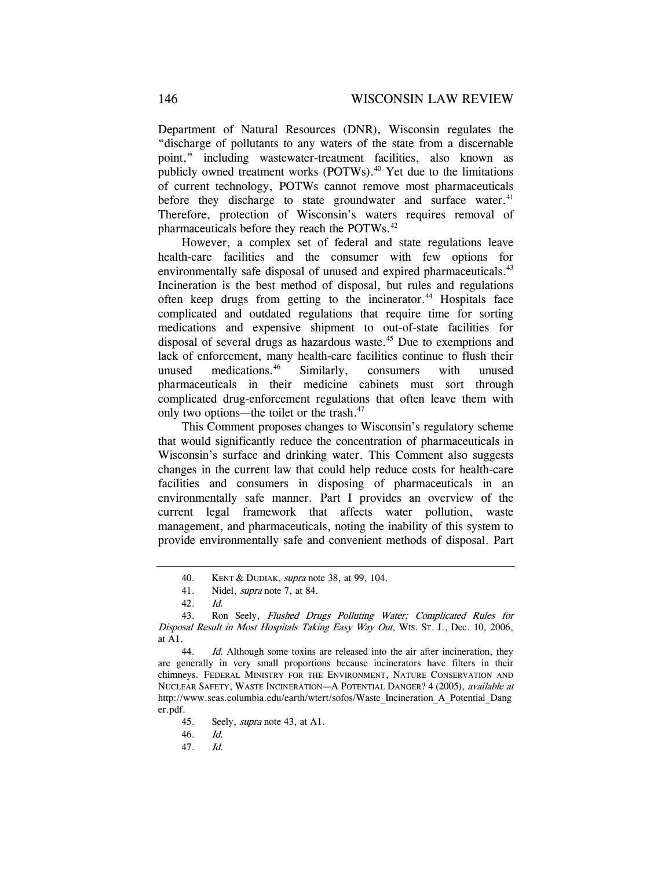Department of Natural Resources (DNR), Wisconsin regulates the "discharge of pollutants to any waters of the state from a discernable point," including wastewater-treatment facilities, also known as publicly owned treatment works  $(POTWs)$ .<sup>40</sup> Yet due to the limitations of current technology, POTWs cannot remove most pharmaceuticals before they discharge to state groundwater and surface water. $41$ Therefore, protection of Wisconsin's waters requires removal of pharmaceuticals before they reach the POTWs.<sup>42</sup>

However, a complex set of federal and state regulations leave health-care facilities and the consumer with few options for environmentally safe disposal of unused and expired pharmaceuticals.<sup>43</sup> Incineration is the best method of disposal, but rules and regulations often keep drugs from getting to the incinerator.<sup>44</sup> Hospitals face complicated and outdated regulations that require time for sorting medications and expensive shipment to out-of-state facilities for disposal of several drugs as hazardous waste.<sup>45</sup> Due to exemptions and lack of enforcement, many health-care facilities continue to flush their unused medications.<sup>46</sup> Similarly, consumers with unused pharmaceuticals in their medicine cabinets must sort through complicated drug-enforcement regulations that often leave them with only two options—the toilet or the trash.<sup>47</sup>

This Comment proposes changes to Wisconsin's regulatory scheme that would significantly reduce the concentration of pharmaceuticals in Wisconsin's surface and drinking water. This Comment also suggests changes in the current law that could help reduce costs for health-care facilities and consumers in disposing of pharmaceuticals in an environmentally safe manner. Part I provides an overview of the current legal framework that affects water pollution, waste management, and pharmaceuticals, noting the inability of this system to provide environmentally safe and convenient methods of disposal. Part

44. Id. Although some toxins are released into the air after incineration, they are generally in very small proportions because incinerators have filters in their chimneys. FEDERAL MINISTRY FOR THE ENVIRONMENT, NATURE CONSERVATION AND NUCLEAR SAFETY, WASTE INCINERATION—A POTENTIAL DANGER? 4 (2005), available at http://www.seas.columbia.edu/earth/wtert/sofos/Waste\_Incineration\_A\_Potential\_Dang er.pdf.

 <sup>40.</sup> KENT & DUDIAK, supra note 38, at 99, 104.

 <sup>41.</sup> Nidel, supra note 7, at 84.

<sup>42.</sup> Id.

 <sup>43.</sup> Ron Seely, Flushed Drugs Polluting Water; Complicated Rules for Disposal Result in Most Hospitals Taking Easy Way Out, WIS. ST. J., Dec. 10, 2006, at A1.

<sup>45.</sup> Seely, *supra* note 43, at A1.

<sup>46.</sup> Id.

<sup>47.</sup> Id.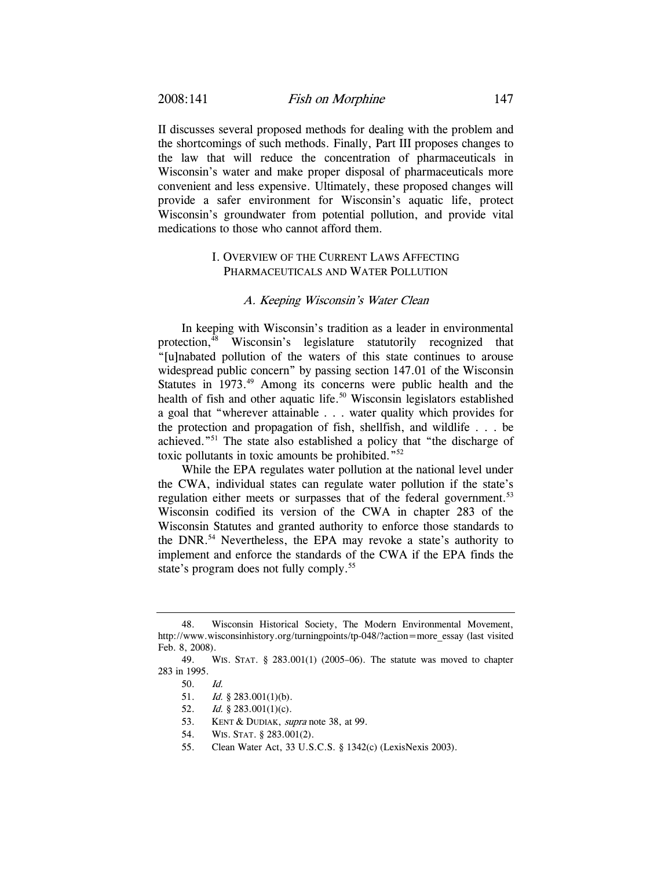II discusses several proposed methods for dealing with the problem and the shortcomings of such methods. Finally, Part III proposes changes to the law that will reduce the concentration of pharmaceuticals in Wisconsin's water and make proper disposal of pharmaceuticals more convenient and less expensive. Ultimately, these proposed changes will provide a safer environment for Wisconsin's aquatic life, protect Wisconsin's groundwater from potential pollution, and provide vital medications to those who cannot afford them.

# I. OVERVIEW OF THE CURRENT LAWS AFFECTING PHARMACEUTICALS AND WATER POLLUTION

### A. Keeping Wisconsin's Water Clean

In keeping with Wisconsin's tradition as a leader in environmental protection, $48$  Wisconsin's legislature statutorily recognized that "[u]nabated pollution of the waters of this state continues to arouse widespread public concern" by passing section 147.01 of the Wisconsin Statutes in 1973.<sup>49</sup> Among its concerns were public health and the health of fish and other aquatic life.<sup>50</sup> Wisconsin legislators established a goal that "wherever attainable . . . water quality which provides for the protection and propagation of fish, shellfish, and wildlife . . . be achieved."51 The state also established a policy that "the discharge of toxic pollutants in toxic amounts be prohibited."52

While the EPA regulates water pollution at the national level under the CWA, individual states can regulate water pollution if the state's regulation either meets or surpasses that of the federal government.<sup>53</sup> Wisconsin codified its version of the CWA in chapter 283 of the Wisconsin Statutes and granted authority to enforce those standards to the DNR.<sup>54</sup> Nevertheless, the EPA may revoke a state's authority to implement and enforce the standards of the CWA if the EPA finds the state's program does not fully comply.<sup>55</sup>

- 53. KENT & DUDIAK, supra note 38, at 99.
- 54. WIS. STAT. § 283.001(2).
- 55. Clean Water Act, 33 U.S.C.S. § 1342(c) (LexisNexis 2003).

 <sup>48.</sup> Wisconsin Historical Society, The Modern Environmental Movement, http://www.wisconsinhistory.org/turningpoints/tp-048/?action=more\_essay (last visited Feb. 8, 2008).

 <sup>49.</sup> WIS. STAT. § 283.001(1) (2005–06). The statute was moved to chapter 283 in 1995.

<sup>50.</sup> Id.

<sup>51.</sup> *Id.* § 283.001(1)(b).

<sup>52.</sup> *Id.* § 283.001(1)(c).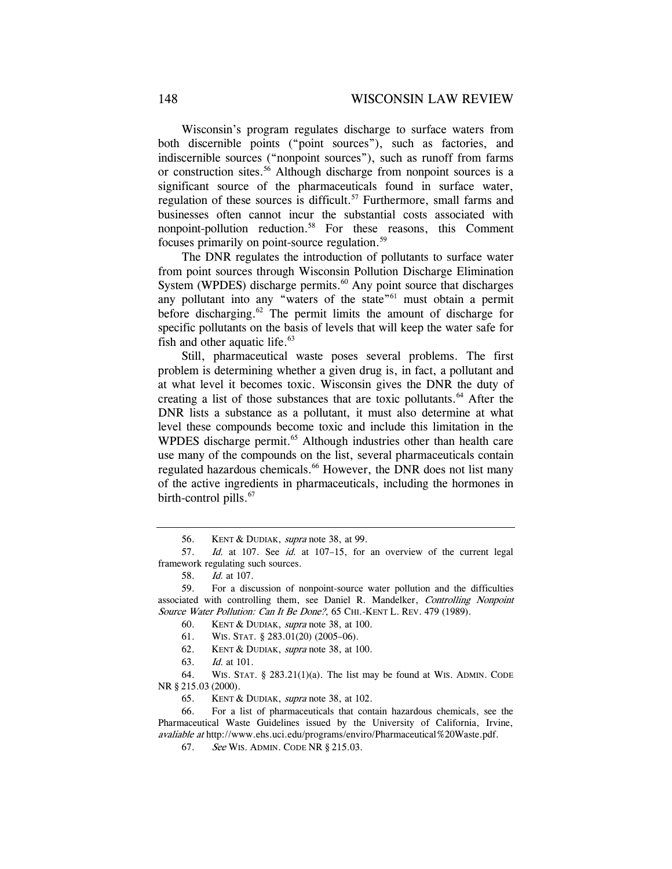Wisconsin's program regulates discharge to surface waters from both discernible points ("point sources"), such as factories, and indiscernible sources ("nonpoint sources"), such as runoff from farms or construction sites.<sup>56</sup> Although discharge from nonpoint sources is a significant source of the pharmaceuticals found in surface water, regulation of these sources is difficult.<sup>57</sup> Furthermore, small farms and businesses often cannot incur the substantial costs associated with nonpoint-pollution reduction.58 For these reasons, this Comment focuses primarily on point-source regulation.59

The DNR regulates the introduction of pollutants to surface water from point sources through Wisconsin Pollution Discharge Elimination System (WPDES) discharge permits. $60$  Any point source that discharges any pollutant into any "waters of the state"<sup>61</sup> must obtain a permit before discharging.62 The permit limits the amount of discharge for specific pollutants on the basis of levels that will keep the water safe for fish and other aquatic life. $63$ 

Still, pharmaceutical waste poses several problems. The first problem is determining whether a given drug is, in fact, a pollutant and at what level it becomes toxic. Wisconsin gives the DNR the duty of creating a list of those substances that are toxic pollutants.<sup>64</sup> After the DNR lists a substance as a pollutant, it must also determine at what level these compounds become toxic and include this limitation in the WPDES discharge permit.<sup>65</sup> Although industries other than health care use many of the compounds on the list, several pharmaceuticals contain regulated hazardous chemicals.<sup>66</sup> However, the DNR does not list many of the active ingredients in pharmaceuticals, including the hormones in birth-control pills. $\frac{6}{7}$ 

61. WIS. STAT. § 283.01(20) (2005–06).

- 62. KENT & DUDIAK, supra note 38, at 100.
- 63. Id. at 101.

 64. WIS. STAT. § 283.21(1)(a). The list may be found at WIS. ADMIN. CODE NR § 215.03 (2000).

65. KENT & DUDIAK, supra note 38, at 102.

 66. For a list of pharmaceuticals that contain hazardous chemicals, see the Pharmaceutical Waste Guidelines issued by the University of California, Irvine, avaliable at http://www.ehs.uci.edu/programs/enviro/Pharmaceutical%20Waste.pdf.

67. See WIS. ADMIN. CODE NR § 215.03.

 <sup>56.</sup> KENT & DUDIAK, supra note 38, at 99.

<sup>57.</sup> Id. at 107. See id. at 107-15, for an overview of the current legal framework regulating such sources.

<sup>58.</sup> Id. at 107.

 <sup>59.</sup> For a discussion of nonpoint-source water pollution and the difficulties associated with controlling them, see Daniel R. Mandelker, Controlling Nonpoint Source Water Pollution: Can It Be Done?, 65 CHI.-KENT L. REV. 479 (1989).

<sup>60.</sup> KENT & DUDIAK, *supra* note 38, at 100.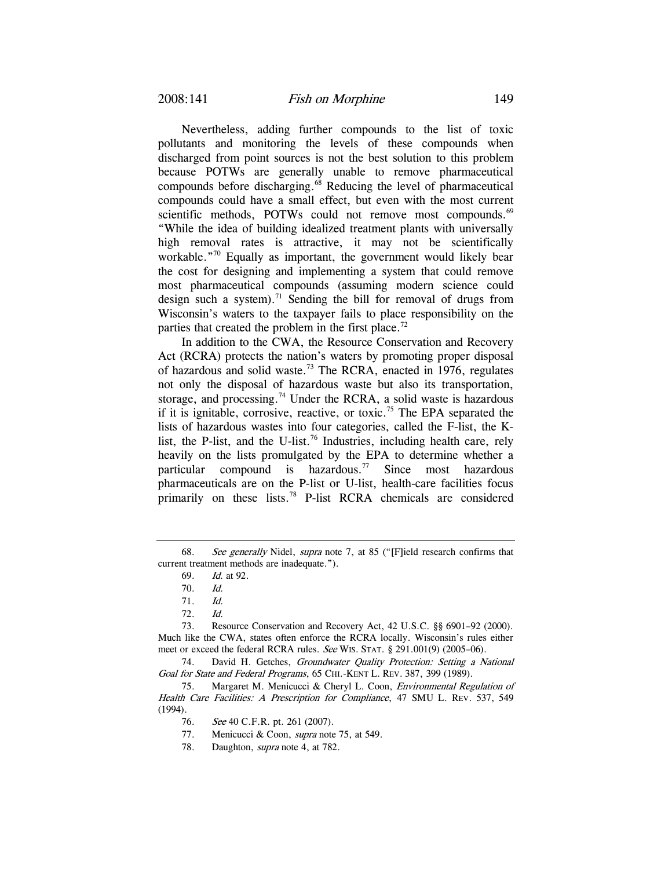Nevertheless, adding further compounds to the list of toxic pollutants and monitoring the levels of these compounds when discharged from point sources is not the best solution to this problem because POTWs are generally unable to remove pharmaceutical compounds before discharging.<sup>68</sup> Reducing the level of pharmaceutical compounds could have a small effect, but even with the most current scientific methods, POTWs could not remove most compounds.<sup>69</sup> "While the idea of building idealized treatment plants with universally high removal rates is attractive, it may not be scientifically workable."<sup>70</sup> Equally as important, the government would likely bear the cost for designing and implementing a system that could remove most pharmaceutical compounds (assuming modern science could design such a system).<sup>71</sup> Sending the bill for removal of drugs from Wisconsin's waters to the taxpayer fails to place responsibility on the parties that created the problem in the first place.<sup>72</sup>

In addition to the CWA, the Resource Conservation and Recovery Act (RCRA) protects the nation's waters by promoting proper disposal of hazardous and solid waste.73 The RCRA, enacted in 1976, regulates not only the disposal of hazardous waste but also its transportation, storage, and processing.<sup>74</sup> Under the RCRA, a solid waste is hazardous if it is ignitable, corrosive, reactive, or toxic.<sup>75</sup> The EPA separated the lists of hazardous wastes into four categories, called the F-list, the Klist, the P-list, and the U-list.<sup>76</sup> Industries, including health care, rely heavily on the lists promulgated by the EPA to determine whether a particular compound is hazardous.<sup>77</sup> Since most hazardous pharmaceuticals are on the P-list or U-list, health-care facilities focus primarily on these lists.<sup>78</sup> P-list RCRA chemicals are considered

74. David H. Getches, Groundwater Quality Protection: Setting a National Goal for State and Federal Programs, 65 CHI.-KENT L. REV. 387, 399 (1989).

 75. Margaret M. Menicucci & Cheryl L. Coon, Environmental Regulation of Health Care Facilities: A Prescription for Compliance, 47 SMU L. REV. 537, 549 (1994).

<sup>68.</sup> See generally Nidel, supra note 7, at 85 ("[F]ield research confirms that current treatment methods are inadequate.").

<sup>69.</sup> Id. at 92.

<sup>70.</sup> Id.

<sup>71.</sup> Id.

<sup>72.</sup> Id.

 <sup>73.</sup> Resource Conservation and Recovery Act, 42 U.S.C. §§ 6901–92 (2000). Much like the CWA, states often enforce the RCRA locally. Wisconsin's rules either meet or exceed the federal RCRA rules. See WIS. STAT. § 291.001(9) (2005–06).

<sup>76.</sup> See 40 C.F.R. pt. 261 (2007).

<sup>77.</sup> Menicucci & Coon, *supra* note 75, at 549.

<sup>78.</sup> Daughton, *supra* note 4, at 782.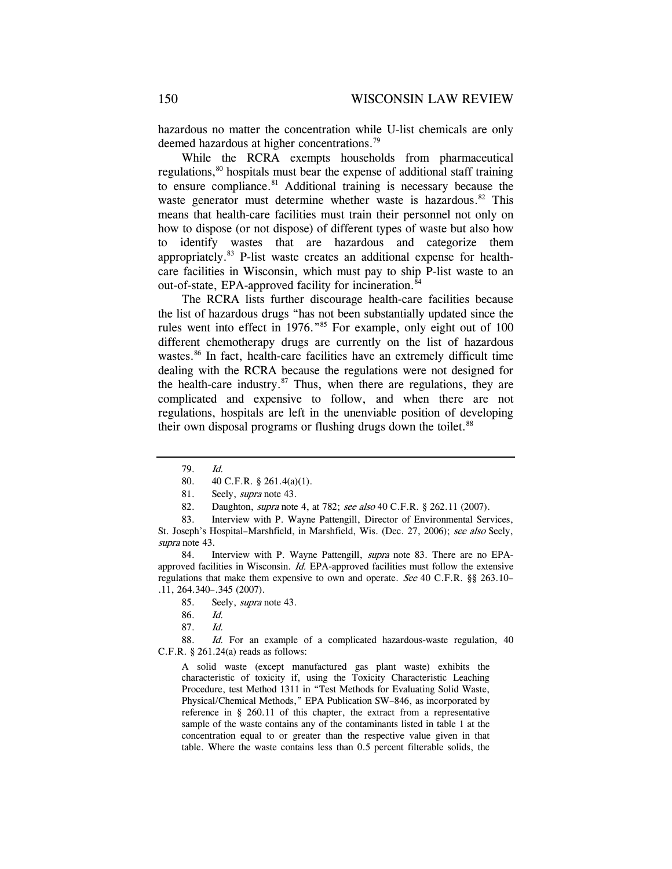hazardous no matter the concentration while U-list chemicals are only deemed hazardous at higher concentrations.<sup>79</sup>

While the RCRA exempts households from pharmaceutical regulations,<sup>80</sup> hospitals must bear the expense of additional staff training to ensure compliance.<sup>81</sup> Additional training is necessary because the waste generator must determine whether waste is hazardous.<sup>82</sup> This means that health-care facilities must train their personnel not only on how to dispose (or not dispose) of different types of waste but also how to identify wastes that are hazardous and categorize them appropriately.83 P-list waste creates an additional expense for healthcare facilities in Wisconsin, which must pay to ship P-list waste to an out-of-state, EPA-approved facility for incineration.<sup>84</sup>

The RCRA lists further discourage health-care facilities because the list of hazardous drugs "has not been substantially updated since the rules went into effect in 1976."<sup>85</sup> For example, only eight out of 100 different chemotherapy drugs are currently on the list of hazardous wastes.<sup>86</sup> In fact, health-care facilities have an extremely difficult time dealing with the RCRA because the regulations were not designed for the health-care industry. $87$  Thus, when there are regulations, they are complicated and expensive to follow, and when there are not regulations, hospitals are left in the unenviable position of developing their own disposal programs or flushing drugs down the toilet.<sup>88</sup>

82. Daughton, *supra* note 4, at 782; see also 40 C.F.R. § 262.11 (2007).

84. Interview with P. Wayne Pattengill, *supra* note 83. There are no EPAapproved facilities in Wisconsin. Id. EPA-approved facilities must follow the extensive regulations that make them expensive to own and operate. See 40 C.F.R. §§ 263.10– .11, 264.340–.345 (2007).

88. Id. For an example of a complicated hazardous-waste regulation, 40 C.F.R.  $\S$  261.24(a) reads as follows:

A solid waste (except manufactured gas plant waste) exhibits the characteristic of toxicity if, using the Toxicity Characteristic Leaching Procedure, test Method 1311 in "Test Methods for Evaluating Solid Waste, Physical/Chemical Methods," EPA Publication SW–846, as incorporated by reference in § 260.11 of this chapter, the extract from a representative sample of the waste contains any of the contaminants listed in table 1 at the concentration equal to or greater than the respective value given in that table. Where the waste contains less than 0.5 percent filterable solids, the

<sup>79.</sup> Id.

 <sup>80. 40</sup> C.F.R. § 261.4(a)(1).

<sup>81.</sup> Seely, *supra* note 43.

 <sup>83.</sup> Interview with P. Wayne Pattengill, Director of Environmental Services, St. Joseph's Hospital–Marshfield, in Marshfield, Wis. (Dec. 27, 2006); see also Seely, supra note 43.

 <sup>85.</sup> Seely, supra note 43.

<sup>86.</sup> Id.

<sup>87.</sup> Id.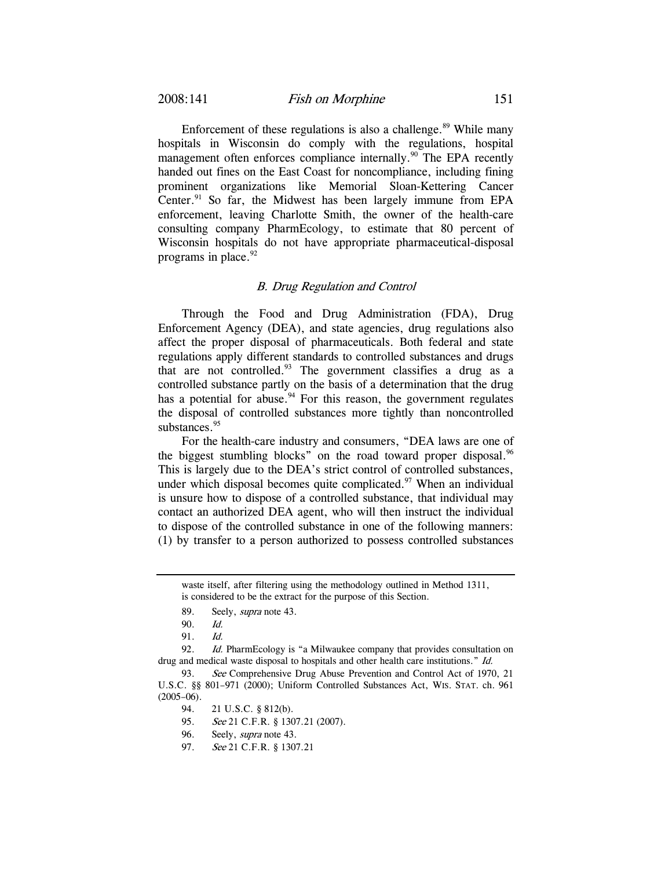Enforcement of these regulations is also a challenge. $89$  While many hospitals in Wisconsin do comply with the regulations, hospital management often enforces compliance internally.<sup>90</sup> The EPA recently handed out fines on the East Coast for noncompliance, including fining prominent organizations like Memorial Sloan-Kettering Cancer Center. $91$  So far, the Midwest has been largely immune from EPA enforcement, leaving Charlotte Smith, the owner of the health-care consulting company PharmEcology, to estimate that 80 percent of Wisconsin hospitals do not have appropriate pharmaceutical-disposal programs in place. $92$ 

#### B. Drug Regulation and Control

Through the Food and Drug Administration (FDA), Drug Enforcement Agency (DEA), and state agencies, drug regulations also affect the proper disposal of pharmaceuticals. Both federal and state regulations apply different standards to controlled substances and drugs that are not controlled.93 The government classifies a drug as a controlled substance partly on the basis of a determination that the drug has a potential for abuse.<sup>94</sup> For this reason, the government regulates the disposal of controlled substances more tightly than noncontrolled substances.<sup>95</sup>

For the health-care industry and consumers, "DEA laws are one of the biggest stumbling blocks" on the road toward proper disposal.  $96$ This is largely due to the DEA's strict control of controlled substances, under which disposal becomes quite complicated. $97$  When an individual is unsure how to dispose of a controlled substance, that individual may contact an authorized DEA agent, who will then instruct the individual to dispose of the controlled substance in one of the following manners: (1) by transfer to a person authorized to possess controlled substances

92. Id. PharmEcology is "a Milwaukee company that provides consultation on drug and medical waste disposal to hospitals and other health care institutions." Id.

waste itself, after filtering using the methodology outlined in Method 1311, is considered to be the extract for the purpose of this Section.

<sup>89.</sup> Seely, *supra* note 43.

<sup>90.</sup> Id.

<sup>91.</sup> Id.

<sup>93.</sup> See Comprehensive Drug Abuse Prevention and Control Act of 1970, 21 U.S.C. §§ 801–971 (2000); Uniform Controlled Substances Act, WIS. STAT. ch. 961  $(2005-06)$ .

 <sup>94. 21</sup> U.S.C. § 812(b).

<sup>95.</sup> See 21 C.F.R. § 1307.21 (2007).

<sup>96.</sup> Seely, *supra* note 43.

<sup>97.</sup> See 21 C.F.R. § 1307.21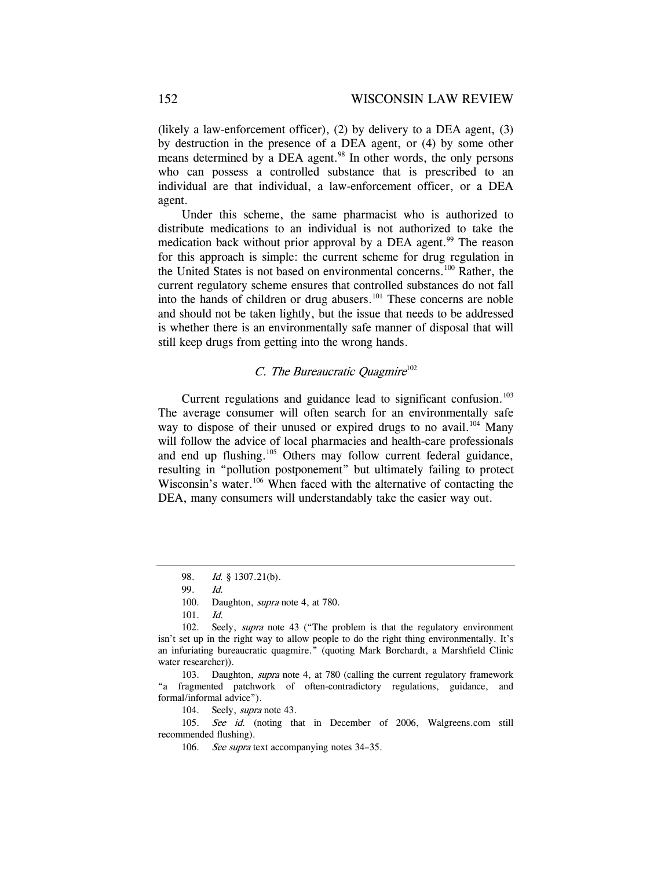(likely a law-enforcement officer), (2) by delivery to a DEA agent,  $(3)$ by destruction in the presence of a DEA agent, or (4) by some other means determined by a DEA agent.<sup>98</sup> In other words, the only persons who can possess a controlled substance that is prescribed to an individual are that individual, a law-enforcement officer, or a DEA agent.

Under this scheme, the same pharmacist who is authorized to distribute medications to an individual is not authorized to take the medication back without prior approval by a DEA agent.<sup>99</sup> The reason for this approach is simple: the current scheme for drug regulation in the United States is not based on environmental concerns.<sup>100</sup> Rather, the current regulatory scheme ensures that controlled substances do not fall into the hands of children or drug abusers.<sup>101</sup> These concerns are noble and should not be taken lightly, but the issue that needs to be addressed is whether there is an environmentally safe manner of disposal that will still keep drugs from getting into the wrong hands.

# C. The Bureaucratic Ouagmire $102$

Current regulations and guidance lead to significant confusion.<sup>103</sup> The average consumer will often search for an environmentally safe way to dispose of their unused or expired drugs to no avail.<sup>104</sup> Many will follow the advice of local pharmacies and health-care professionals and end up flushing.<sup>105</sup> Others may follow current federal guidance, resulting in "pollution postponement" but ultimately failing to protect Wisconsin's water.<sup>106</sup> When faced with the alternative of contacting the DEA, many consumers will understandably take the easier way out.

104. Seely, *supra* note 43.

105. See id. (noting that in December of 2006, Walgreens.com still recommended flushing).

<sup>98.</sup> Id. § 1307.21(b).

<sup>99.</sup> Id.

<sup>100.</sup> Daughton, *supra* note 4, at 780.

<sup>101.</sup> Id.

<sup>102.</sup> Seely, *supra* note 43 ("The problem is that the regulatory environment isn't set up in the right way to allow people to do the right thing environmentally. It's an infuriating bureaucratic quagmire." (quoting Mark Borchardt, a Marshfield Clinic water researcher)).

<sup>103.</sup> Daughton, supra note 4, at 780 (calling the current regulatory framework "a fragmented patchwork of often-contradictory regulations, guidance, and formal/informal advice").

<sup>106.</sup> See supra text accompanying notes 34–35.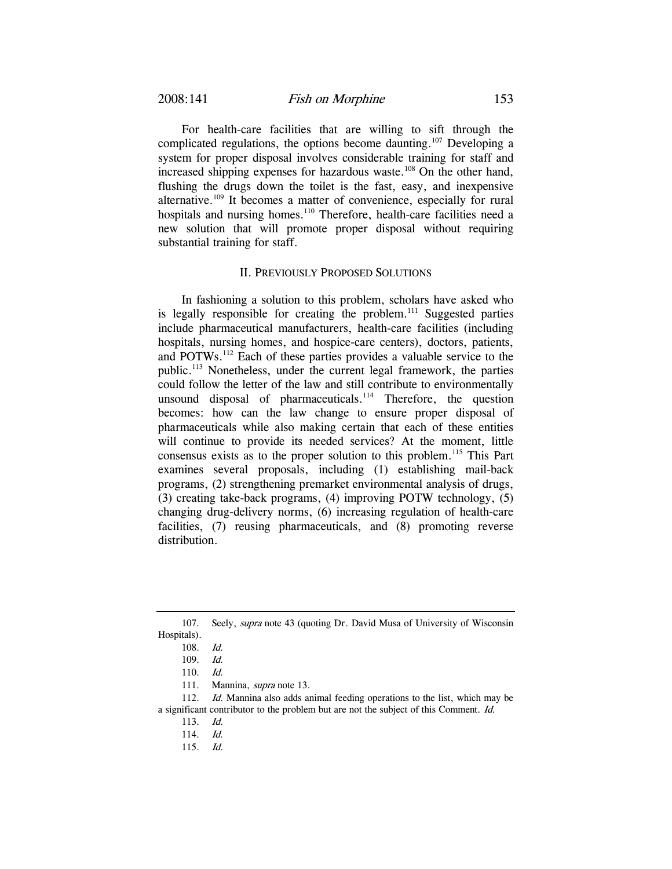For health-care facilities that are willing to sift through the complicated regulations, the options become daunting.<sup>107</sup> Developing a system for proper disposal involves considerable training for staff and increased shipping expenses for hazardous waste.<sup>108</sup> On the other hand, flushing the drugs down the toilet is the fast, easy, and inexpensive alternative.<sup>109</sup> It becomes a matter of convenience, especially for rural hospitals and nursing homes.<sup>110</sup> Therefore, health-care facilities need a new solution that will promote proper disposal without requiring substantial training for staff.

#### II. PREVIOUSLY PROPOSED SOLUTIONS

In fashioning a solution to this problem, scholars have asked who is legally responsible for creating the problem.<sup>111</sup> Suggested parties include pharmaceutical manufacturers, health-care facilities (including hospitals, nursing homes, and hospice-care centers), doctors, patients, and POTWs.112 Each of these parties provides a valuable service to the public.113 Nonetheless, under the current legal framework, the parties could follow the letter of the law and still contribute to environmentally unsound disposal of pharmaceuticals.<sup>114</sup> Therefore, the question becomes: how can the law change to ensure proper disposal of pharmaceuticals while also making certain that each of these entities will continue to provide its needed services? At the moment, little consensus exists as to the proper solution to this problem.<sup>115</sup> This Part examines several proposals, including (1) establishing mail-back programs, (2) strengthening premarket environmental analysis of drugs, (3) creating take-back programs, (4) improving POTW technology, (5) changing drug-delivery norms, (6) increasing regulation of health-care facilities, (7) reusing pharmaceuticals, and (8) promoting reverse distribution.

115. Id.

 <sup>107.</sup> Seely, supra note 43 (quoting Dr. David Musa of University of Wisconsin Hospitals).

<sup>108.</sup> Id.

<sup>109.</sup> Id.

<sup>110.</sup> Id.

 <sup>111.</sup> Mannina, supra note 13.

<sup>112.</sup> *Id.* Mannina also adds animal feeding operations to the list, which may be a significant contributor to the problem but are not the subject of this Comment. Id.

<sup>113.</sup> Id.

<sup>114.</sup> Id.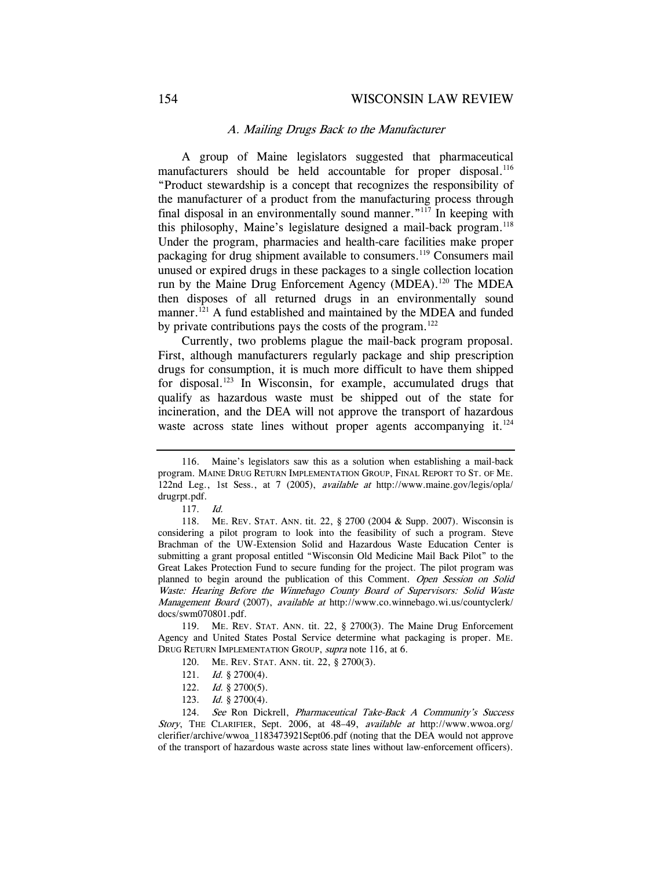#### A. Mailing Drugs Back to the Manufacturer

A group of Maine legislators suggested that pharmaceutical manufacturers should be held accountable for proper disposal.<sup>116</sup> "Product stewardship is a concept that recognizes the responsibility of the manufacturer of a product from the manufacturing process through final disposal in an environmentally sound manner."117 In keeping with this philosophy, Maine's legislature designed a mail-back program.<sup>118</sup> Under the program, pharmacies and health-care facilities make proper packaging for drug shipment available to consumers.<sup>119</sup> Consumers mail unused or expired drugs in these packages to a single collection location run by the Maine Drug Enforcement Agency (MDEA).120 The MDEA then disposes of all returned drugs in an environmentally sound manner.<sup>121</sup> A fund established and maintained by the MDEA and funded by private contributions pays the costs of the program.<sup>122</sup>

Currently, two problems plague the mail-back program proposal. First, although manufacturers regularly package and ship prescription drugs for consumption, it is much more difficult to have them shipped for disposal.<sup>123</sup> In Wisconsin, for example, accumulated drugs that qualify as hazardous waste must be shipped out of the state for incineration, and the DEA will not approve the transport of hazardous waste across state lines without proper agents accompanying it.<sup>124</sup>

119. ME. REV. STAT. ANN. tit. 22, § 2700(3). The Maine Drug Enforcement Agency and United States Postal Service determine what packaging is proper. ME. DRUG RETURN IMPLEMENTATION GROUP, supra note 116, at 6.

- 121. Id. § 2700(4).
- 122. *Id.* § 2700(5).
- 123. Id. § 2700(4).

124. See Ron Dickrell, Pharmaceutical Take-Back A Community's Success Story, THE CLARIFIER, Sept. 2006, at 48–49, available at http://www.wwoa.org/ clerifier/archive/wwoa\_1183473921Sept06.pdf (noting that the DEA would not approve of the transport of hazardous waste across state lines without law-enforcement officers).

 <sup>116.</sup> Maine's legislators saw this as a solution when establishing a mail-back program. MAINE DRUG RETURN IMPLEMENTATION GROUP, FINAL REPORT TO ST. OF ME. 122nd Leg., 1st Sess., at 7 (2005), available at http://www.maine.gov/legis/opla/ drugrpt.pdf.

<sup>117.</sup> Id.

 <sup>118.</sup> ME. REV. STAT. ANN. tit. 22, § 2700 (2004 & Supp. 2007). Wisconsin is considering a pilot program to look into the feasibility of such a program. Steve Brachman of the UW-Extension Solid and Hazardous Waste Education Center is submitting a grant proposal entitled "Wisconsin Old Medicine Mail Back Pilot" to the Great Lakes Protection Fund to secure funding for the project. The pilot program was planned to begin around the publication of this Comment. Open Session on Solid Waste: Hearing Before the Winnebago County Board of Supervisors: Solid Waste Management Board (2007), available at http://www.co.winnebago.wi.us/countyclerk/ docs/swm070801.pdf.

 <sup>120.</sup> ME. REV. STAT. ANN. tit. 22, § 2700(3).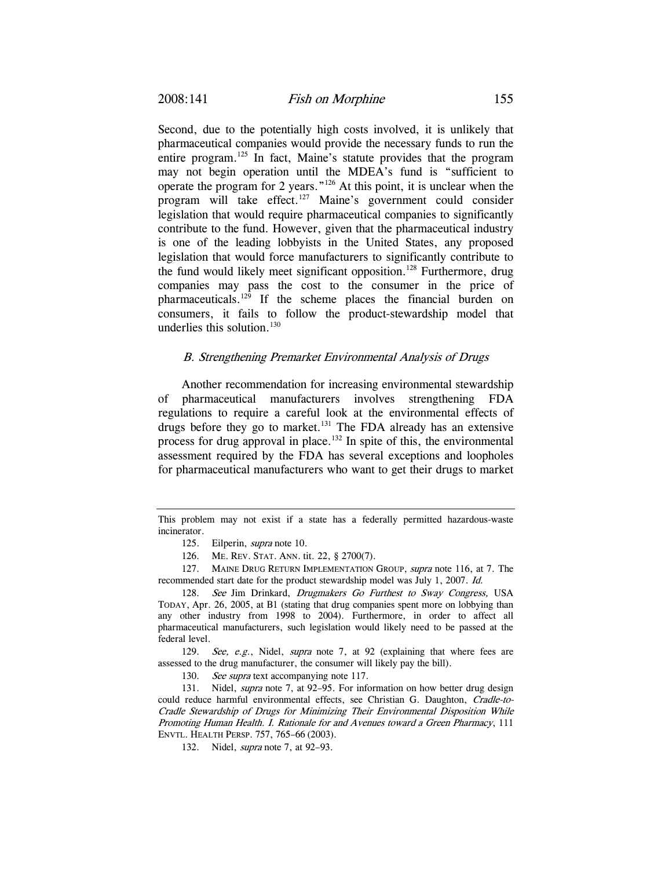Second, due to the potentially high costs involved, it is unlikely that pharmaceutical companies would provide the necessary funds to run the entire program.<sup>125</sup> In fact, Maine's statute provides that the program may not begin operation until the MDEA's fund is "sufficient to operate the program for 2 years."126 At this point, it is unclear when the program will take effect.<sup>127</sup> Maine's government could consider legislation that would require pharmaceutical companies to significantly contribute to the fund. However, given that the pharmaceutical industry is one of the leading lobbyists in the United States, any proposed legislation that would force manufacturers to significantly contribute to the fund would likely meet significant opposition.<sup>128</sup> Furthermore, drug companies may pass the cost to the consumer in the price of pharmaceuticals.129 If the scheme places the financial burden on consumers, it fails to follow the product-stewardship model that underlies this solution. $130$ 

### B. Strengthening Premarket Environmental Analysis of Drugs

Another recommendation for increasing environmental stewardship of pharmaceutical manufacturers involves strengthening FDA regulations to require a careful look at the environmental effects of drugs before they go to market.<sup>131</sup> The FDA already has an extensive process for drug approval in place.<sup>132</sup> In spite of this, the environmental assessment required by the FDA has several exceptions and loopholes for pharmaceutical manufacturers who want to get their drugs to market

This problem may not exist if a state has a federally permitted hazardous-waste incinerator.

 <sup>125.</sup> Eilperin, supra note 10.

 <sup>126.</sup> ME. REV. STAT. ANN. tit. 22, § 2700(7).

<sup>127.</sup> MAINE DRUG RETURN IMPLEMENTATION GROUP, *supra* note 116, at 7. The recommended start date for the product stewardship model was July 1, 2007. Id.

<sup>128.</sup> See Jim Drinkard, Drugmakers Go Furthest to Sway Congress, USA TODAY, Apr. 26, 2005, at B1 (stating that drug companies spent more on lobbying than any other industry from 1998 to 2004). Furthermore, in order to affect all pharmaceutical manufacturers, such legislation would likely need to be passed at the federal level.

<sup>129.</sup> See, e.g., Nidel, supra note 7, at 92 (explaining that where fees are assessed to the drug manufacturer, the consumer will likely pay the bill).

<sup>130.</sup> See supra text accompanying note 117.

<sup>131.</sup> Nidel, *supra* note 7, at 92-95. For information on how better drug design could reduce harmful environmental effects, see Christian G. Daughton, Cradle-to-Cradle Stewardship of Drugs for Minimizing Their Environmental Disposition While Promoting Human Health. I. Rationale for and Avenues toward a Green Pharmacy, 111 ENVTL. HEALTH PERSP. 757, 765–66 (2003).

 <sup>132.</sup> Nidel, supra note 7, at 92–93.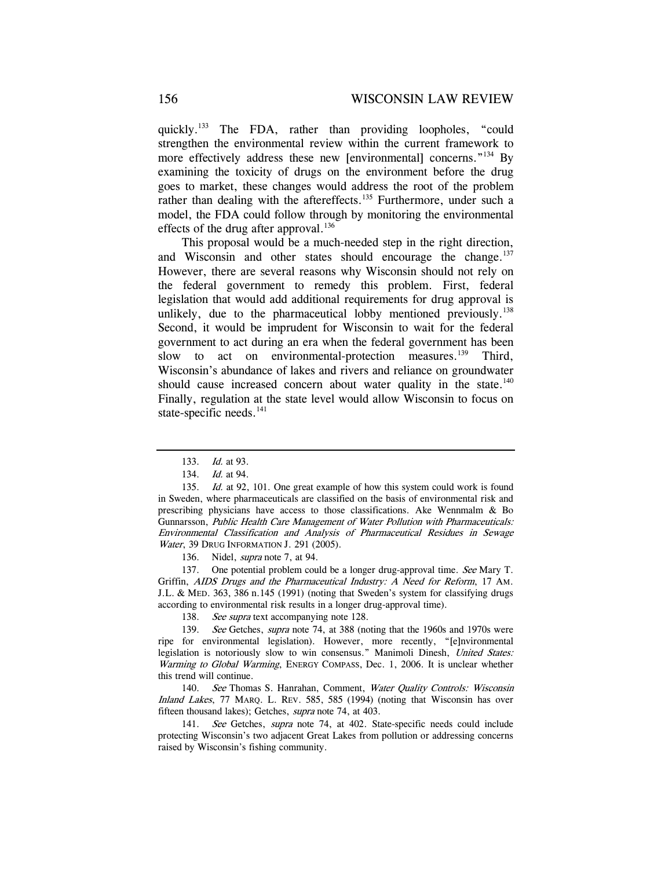quickly.<sup>133</sup> The FDA, rather than providing loopholes, "could strengthen the environmental review within the current framework to more effectively address these new [environmental] concerns."<sup>134</sup> By examining the toxicity of drugs on the environment before the drug goes to market, these changes would address the root of the problem rather than dealing with the aftereffects.<sup>135</sup> Furthermore, under such a model, the FDA could follow through by monitoring the environmental effects of the drug after approval.<sup>136</sup>

This proposal would be a much-needed step in the right direction, and Wisconsin and other states should encourage the change.<sup>137</sup> However, there are several reasons why Wisconsin should not rely on the federal government to remedy this problem. First, federal legislation that would add additional requirements for drug approval is unlikely, due to the pharmaceutical lobby mentioned previously.<sup>138</sup> Second, it would be imprudent for Wisconsin to wait for the federal government to act during an era when the federal government has been slow to act on environmental-protection measures.<sup>139</sup> Third, Wisconsin's abundance of lakes and rivers and reliance on groundwater should cause increased concern about water quality in the state. $140$ Finally, regulation at the state level would allow Wisconsin to focus on state-specific needs.<sup>141</sup>

136. Nidel, *supra* note 7, at 94.

137. One potential problem could be a longer drug-approval time. See Mary T. Griffin, AIDS Drugs and the Pharmaceutical Industry: A Need for Reform, 17 AM. J.L. & MED. 363, 386 n.145 (1991) (noting that Sweden's system for classifying drugs according to environmental risk results in a longer drug-approval time).

138. See supra text accompanying note 128.

139. See Getches, supra note 74, at 388 (noting that the 1960s and 1970s were ripe for environmental legislation). However, more recently, "[e]nvironmental legislation is notoriously slow to win consensus." Manimoli Dinesh, United States: Warming to Global Warming, ENERGY COMPASS, Dec. 1, 2006. It is unclear whether this trend will continue.

140. See Thomas S. Hanrahan, Comment, Water Quality Controls: Wisconsin Inland Lakes, 77 MARQ. L. REV. 585, 585 (1994) (noting that Wisconsin has over fifteen thousand lakes); Getches, *supra* note 74, at 403.

141. See Getches, supra note 74, at 402. State-specific needs could include protecting Wisconsin's two adjacent Great Lakes from pollution or addressing concerns raised by Wisconsin's fishing community.

<sup>133.</sup> Id. at 93.

<sup>134.</sup> Id. at 94.

<sup>135.</sup> Id. at 92, 101. One great example of how this system could work is found in Sweden, where pharmaceuticals are classified on the basis of environmental risk and prescribing physicians have access to those classifications. Ake Wennmalm & Bo Gunnarsson, Public Health Care Management of Water Pollution with Pharmaceuticals: Environmental Classification and Analysis of Pharmaceutical Residues in Sewage Water, 39 DRUG INFORMATION J. 291 (2005).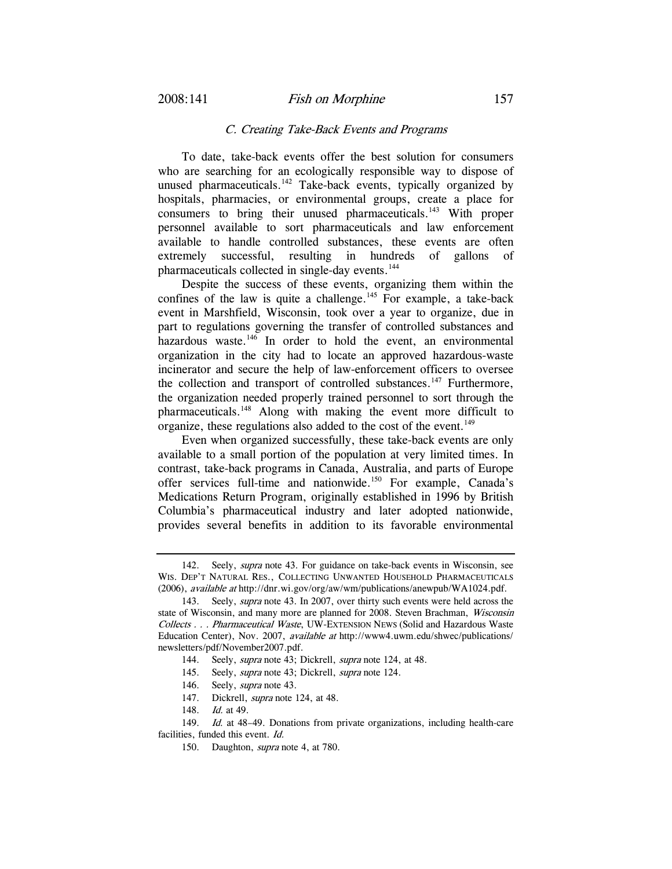#### C. Creating Take-Back Events and Programs

To date, take-back events offer the best solution for consumers who are searching for an ecologically responsible way to dispose of unused pharmaceuticals. $142$  Take-back events, typically organized by hospitals, pharmacies, or environmental groups, create a place for consumers to bring their unused pharmaceuticals.<sup>143</sup> With proper personnel available to sort pharmaceuticals and law enforcement available to handle controlled substances, these events are often extremely successful, resulting in hundreds of gallons of pharmaceuticals collected in single-day events.<sup>144</sup>

Despite the success of these events, organizing them within the confines of the law is quite a challenge.<sup>145</sup> For example, a take-back event in Marshfield, Wisconsin, took over a year to organize, due in part to regulations governing the transfer of controlled substances and hazardous waste.<sup>146</sup> In order to hold the event, an environmental organization in the city had to locate an approved hazardous-waste incinerator and secure the help of law-enforcement officers to oversee the collection and transport of controlled substances.<sup>147</sup> Furthermore, the organization needed properly trained personnel to sort through the pharmaceuticals.<sup>148</sup> Along with making the event more difficult to organize, these regulations also added to the cost of the event.<sup>149</sup>

Even when organized successfully, these take-back events are only available to a small portion of the population at very limited times. In contrast, take-back programs in Canada, Australia, and parts of Europe offer services full-time and nationwide.<sup>150</sup> For example, Canada's Medications Return Program, originally established in 1996 by British Columbia's pharmaceutical industry and later adopted nationwide, provides several benefits in addition to its favorable environmental

147. Dickrell, *supra* note 124, at 48.

<sup>142.</sup> Seely, *supra* note 43. For guidance on take-back events in Wisconsin, see WIS. DEP'T NATURAL RES., COLLECTING UNWANTED HOUSEHOLD PHARMACEUTICALS (2006), available at http://dnr.wi.gov/org/aw/wm/publications/anewpub/WA1024.pdf.

 <sup>143.</sup> Seely, supra note 43. In 2007, over thirty such events were held across the state of Wisconsin, and many more are planned for 2008. Steven Brachman, *Wisconsin* Collects . . . Pharmaceutical Waste, UW-EXTENSION NEWS (Solid and Hazardous Waste Education Center), Nov. 2007, available at http://www4.uwm.edu/shwec/publications/ newsletters/pdf/November2007.pdf.

<sup>144.</sup> Seely, *supra* note 43; Dickrell, *supra* note 124, at 48.

<sup>145.</sup> Seely, *supra* note 43; Dickrell, *supra* note 124.

<sup>146.</sup> Seely, *supra* note 43.

<sup>148.</sup> *Id.* at 49.

<sup>149.</sup> Id. at 48-49. Donations from private organizations, including health-care facilities, funded this event. Id.

 <sup>150.</sup> Daughton, supra note 4, at 780.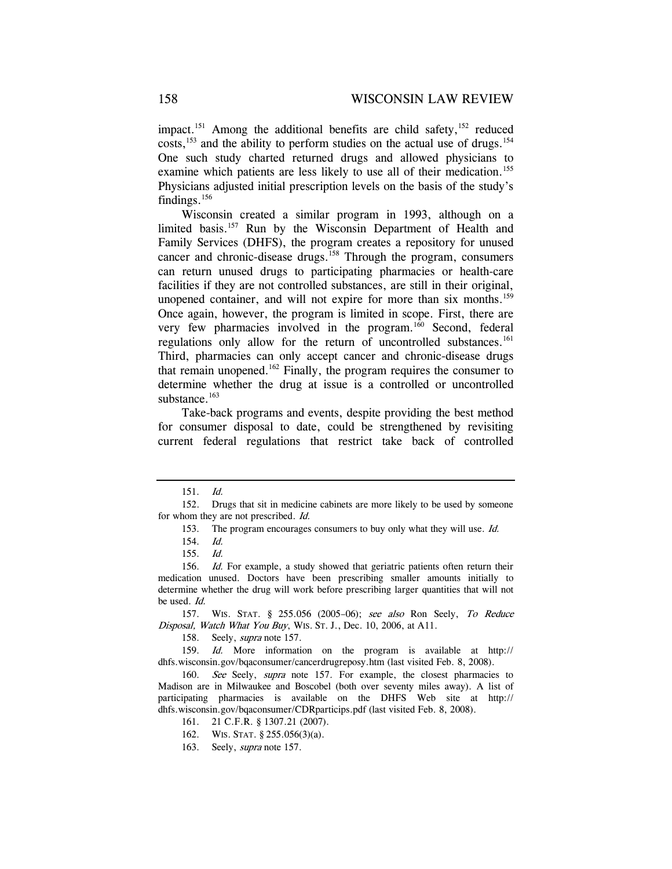impact.<sup>151</sup> Among the additional benefits are child safety,  $152$  reduced costs,<sup>153</sup> and the ability to perform studies on the actual use of drugs.<sup>154</sup> One such study charted returned drugs and allowed physicians to examine which patients are less likely to use all of their medication.<sup>155</sup> Physicians adjusted initial prescription levels on the basis of the study's findings.<sup>156</sup>

Wisconsin created a similar program in 1993, although on a limited basis.<sup>157</sup> Run by the Wisconsin Department of Health and Family Services (DHFS), the program creates a repository for unused cancer and chronic-disease drugs.<sup>158</sup> Through the program, consumers can return unused drugs to participating pharmacies or health-care facilities if they are not controlled substances, are still in their original, unopened container, and will not expire for more than six months.<sup>159</sup> Once again, however, the program is limited in scope. First, there are very few pharmacies involved in the program.<sup>160</sup> Second, federal regulations only allow for the return of uncontrolled substances.<sup>161</sup> Third, pharmacies can only accept cancer and chronic-disease drugs that remain unopened.<sup>162</sup> Finally, the program requires the consumer to determine whether the drug at issue is a controlled or uncontrolled substance.<sup>163</sup>

Take-back programs and events, despite providing the best method for consumer disposal to date, could be strengthened by revisiting current federal regulations that restrict take back of controlled

158. Seely, supra note 157.

<sup>151.</sup> Id.

 <sup>152.</sup> Drugs that sit in medicine cabinets are more likely to be used by someone for whom they are not prescribed. Id.

<sup>153.</sup> The program encourages consumers to buy only what they will use. Id.

<sup>154.</sup> Id.

<sup>155.</sup> Id.

<sup>156.</sup> Id. For example, a study showed that geriatric patients often return their medication unused. Doctors have been prescribing smaller amounts initially to determine whether the drug will work before prescribing larger quantities that will not be used. Id.

 <sup>157.</sup> WIS. STAT. § 255.056 (2005–06); see also Ron Seely, To Reduce Disposal, Watch What You Buy, WIS. ST. J., Dec. 10, 2006, at A11.

<sup>159.</sup> Id. More information on the program is available at http:// dhfs.wisconsin.gov/bqaconsumer/cancerdrugreposy.htm (last visited Feb. 8, 2008).

<sup>160.</sup> See Seely, supra note 157. For example, the closest pharmacies to Madison are in Milwaukee and Boscobel (both over seventy miles away). A list of participating pharmacies is available on the DHFS Web site at http:// dhfs.wisconsin.gov/bqaconsumer/CDRparticips.pdf (last visited Feb. 8, 2008).

 <sup>161. 21</sup> C.F.R. § 1307.21 (2007).

 <sup>162.</sup> WIS. STAT. § 255.056(3)(a).

 <sup>163.</sup> Seely, supra note 157.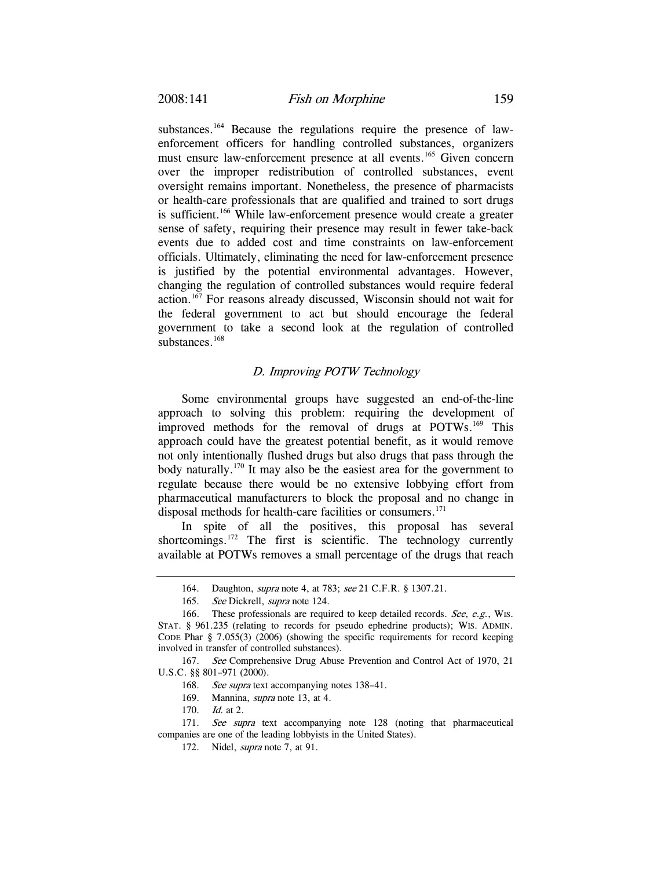substances.<sup>164</sup> Because the regulations require the presence of lawenforcement officers for handling controlled substances, organizers must ensure law-enforcement presence at all events.<sup>165</sup> Given concern over the improper redistribution of controlled substances, event oversight remains important. Nonetheless, the presence of pharmacists or health-care professionals that are qualified and trained to sort drugs is sufficient.<sup>166</sup> While law-enforcement presence would create a greater sense of safety, requiring their presence may result in fewer take-back events due to added cost and time constraints on law-enforcement officials. Ultimately, eliminating the need for law-enforcement presence is justified by the potential environmental advantages. However, changing the regulation of controlled substances would require federal action.167 For reasons already discussed, Wisconsin should not wait for the federal government to act but should encourage the federal government to take a second look at the regulation of controlled substances.<sup>168</sup>

### D. Improving POTW Technology

Some environmental groups have suggested an end-of-the-line approach to solving this problem: requiring the development of improved methods for the removal of drugs at POTWs.169 This approach could have the greatest potential benefit, as it would remove not only intentionally flushed drugs but also drugs that pass through the body naturally.170 It may also be the easiest area for the government to regulate because there would be no extensive lobbying effort from pharmaceutical manufacturers to block the proposal and no change in disposal methods for health-care facilities or consumers.<sup>171</sup>

In spite of all the positives, this proposal has several shortcomings.<sup>172</sup> The first is scientific. The technology currently available at POTWs removes a small percentage of the drugs that reach

 <sup>164.</sup> Daughton, supra note 4, at 783; see 21 C.F.R. § 1307.21.

<sup>165.</sup> See Dickrell, supra note 124.

 <sup>166.</sup> These professionals are required to keep detailed records. See, e.g., WIS. STAT. § 961.235 (relating to records for pseudo ephedrine products); WIS. ADMIN. CODE Phar § 7.055(3) (2006) (showing the specific requirements for record keeping involved in transfer of controlled substances).

<sup>167.</sup> See Comprehensive Drug Abuse Prevention and Control Act of 1970, 21 U.S.C. §§ 801–971 (2000).

<sup>168.</sup> See supra text accompanying notes 138-41.

 <sup>169.</sup> Mannina, supra note 13, at 4.

<sup>170.</sup> Id. at 2.

<sup>171.</sup> See supra text accompanying note 128 (noting that pharmaceutical companies are one of the leading lobbyists in the United States).

 <sup>172.</sup> Nidel, supra note 7, at 91.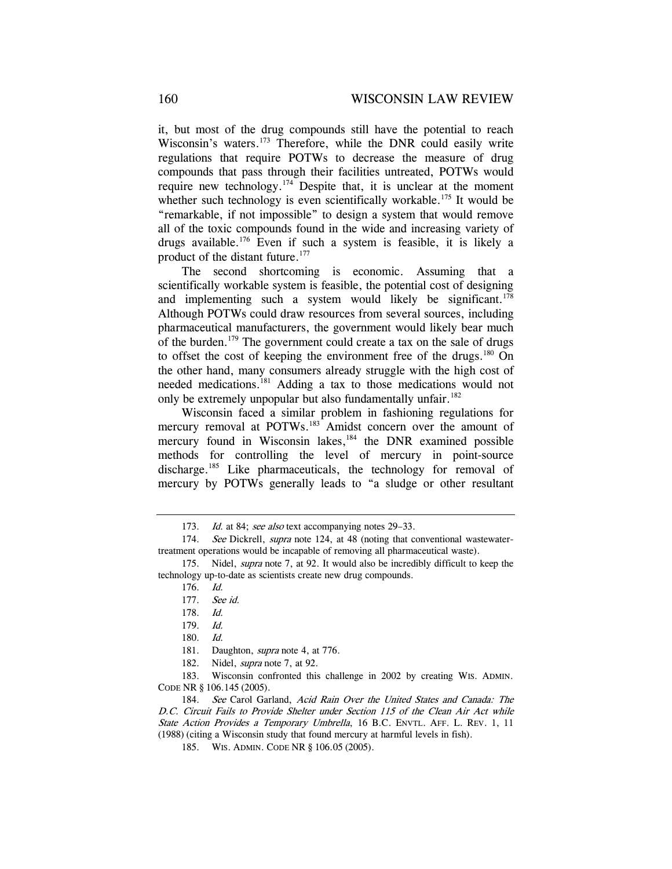it, but most of the drug compounds still have the potential to reach Wisconsin's waters.<sup>173</sup> Therefore, while the DNR could easily write regulations that require POTWs to decrease the measure of drug compounds that pass through their facilities untreated, POTWs would require new technology.<sup>174</sup> Despite that, it is unclear at the moment whether such technology is even scientifically workable.<sup>175</sup> It would be "remarkable, if not impossible" to design a system that would remove all of the toxic compounds found in the wide and increasing variety of drugs available.176 Even if such a system is feasible, it is likely a product of the distant future.<sup>177</sup>

The second shortcoming is economic. Assuming that a scientifically workable system is feasible, the potential cost of designing and implementing such a system would likely be significant.<sup>178</sup> Although POTWs could draw resources from several sources, including pharmaceutical manufacturers, the government would likely bear much of the burden.179 The government could create a tax on the sale of drugs to offset the cost of keeping the environment free of the drugs.<sup>180</sup> On the other hand, many consumers already struggle with the high cost of needed medications.181 Adding a tax to those medications would not only be extremely unpopular but also fundamentally unfair.<sup>182</sup>

Wisconsin faced a similar problem in fashioning regulations for mercury removal at POTWs.<sup>183</sup> Amidst concern over the amount of mercury found in Wisconsin lakes, $184$  the DNR examined possible methods for controlling the level of mercury in point-source discharge.<sup>185</sup> Like pharmaceuticals, the technology for removal of mercury by POTWs generally leads to "a sludge or other resultant

<sup>173.</sup> Id. at 84; see also text accompanying notes 29–33.

<sup>174.</sup> See Dickrell, *supra* note 124, at 48 (noting that conventional wastewatertreatment operations would be incapable of removing all pharmaceutical waste).

 <sup>175.</sup> Nidel, supra note 7, at 92. It would also be incredibly difficult to keep the technology up-to-date as scientists create new drug compounds.

<sup>176.</sup> Id.

<sup>177.</sup> See id.

<sup>178.</sup> Id.

<sup>179.</sup> Id.

<sup>180.</sup> Id.

<sup>181.</sup> Daughton, *supra* note 4, at 776.

<sup>182.</sup> Nidel, *supra* note 7, at 92.

 <sup>183.</sup> Wisconsin confronted this challenge in 2002 by creating WIS. ADMIN. CODE NR § 106.145 (2005).

<sup>184.</sup> See Carol Garland, Acid Rain Over the United States and Canada: The D.C. Circuit Fails to Provide Shelter under Section 115 of the Clean Air Act while State Action Provides a Temporary Umbrella, 16 B.C. ENVTL. AFF. L. REV. 1, 11 (1988) (citing a Wisconsin study that found mercury at harmful levels in fish).

 <sup>185.</sup> WIS. ADMIN. CODE NR § 106.05 (2005).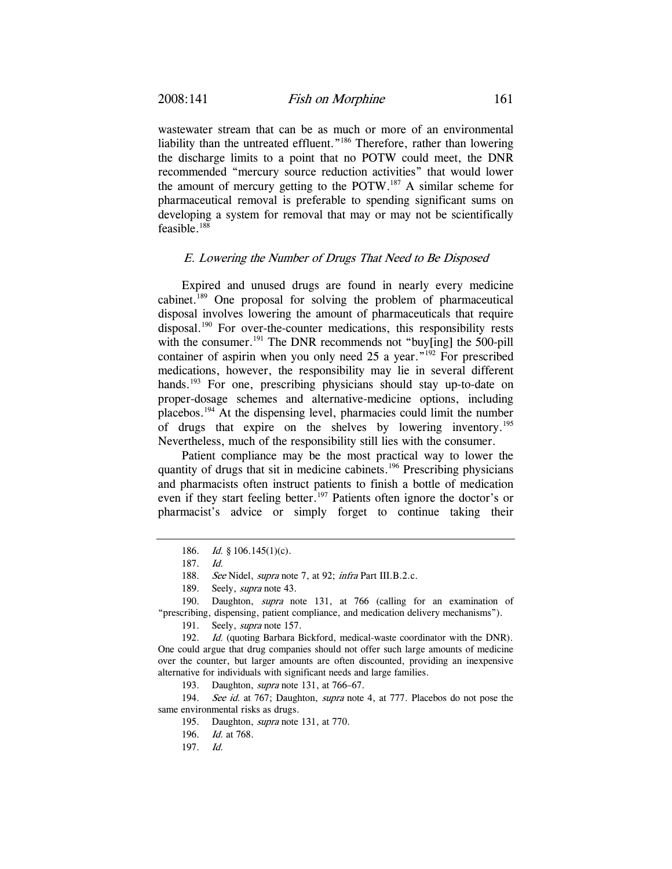wastewater stream that can be as much or more of an environmental liability than the untreated effluent."<sup>186</sup> Therefore, rather than lowering the discharge limits to a point that no POTW could meet, the DNR recommended "mercury source reduction activities" that would lower the amount of mercury getting to the POTW.<sup>187</sup> A similar scheme for pharmaceutical removal is preferable to spending significant sums on developing a system for removal that may or may not be scientifically feasible. $188$ 

#### E. Lowering the Number of Drugs That Need to Be Disposed

Expired and unused drugs are found in nearly every medicine cabinet.189 One proposal for solving the problem of pharmaceutical disposal involves lowering the amount of pharmaceuticals that require disposal.190 For over-the-counter medications, this responsibility rests with the consumer.<sup>191</sup> The DNR recommends not "buy[ing] the 500-pill container of aspirin when you only need 25 a year."<sup>192</sup> For prescribed medications, however, the responsibility may lie in several different hands.<sup>193</sup> For one, prescribing physicians should stay up-to-date on proper-dosage schemes and alternative-medicine options, including placebos.194 At the dispensing level, pharmacies could limit the number of drugs that expire on the shelves by lowering inventory.195 Nevertheless, much of the responsibility still lies with the consumer.

Patient compliance may be the most practical way to lower the quantity of drugs that sit in medicine cabinets.<sup>196</sup> Prescribing physicians and pharmacists often instruct patients to finish a bottle of medication even if they start feeling better.<sup>197</sup> Patients often ignore the doctor's or pharmacist's advice or simply forget to continue taking their

 190. Daughton, supra note 131, at 766 (calling for an examination of "prescribing, dispensing, patient compliance, and medication delivery mechanisms").

193. Daughton, *supra* note 131, at 766–67.

194. See id. at 767; Daughton, supra note 4, at 777. Placebos do not pose the same environmental risks as drugs.

<sup>186.</sup> *Id.* § 106.145(1)(c).

<sup>187.</sup> Id.

<sup>188.</sup> See Nidel, *supra* note 7, at 92; *infra* Part III.B.2.c.

<sup>189.</sup> Seely, *supra* note 43.

 <sup>191.</sup> Seely, supra note 157.

<sup>192.</sup> *Id.* (quoting Barbara Bickford, medical-waste coordinator with the DNR). One could argue that drug companies should not offer such large amounts of medicine over the counter, but larger amounts are often discounted, providing an inexpensive alternative for individuals with significant needs and large families.

 <sup>195.</sup> Daughton, supra note 131, at 770.

<sup>196.</sup> Id. at 768.

<sup>197.</sup> Id.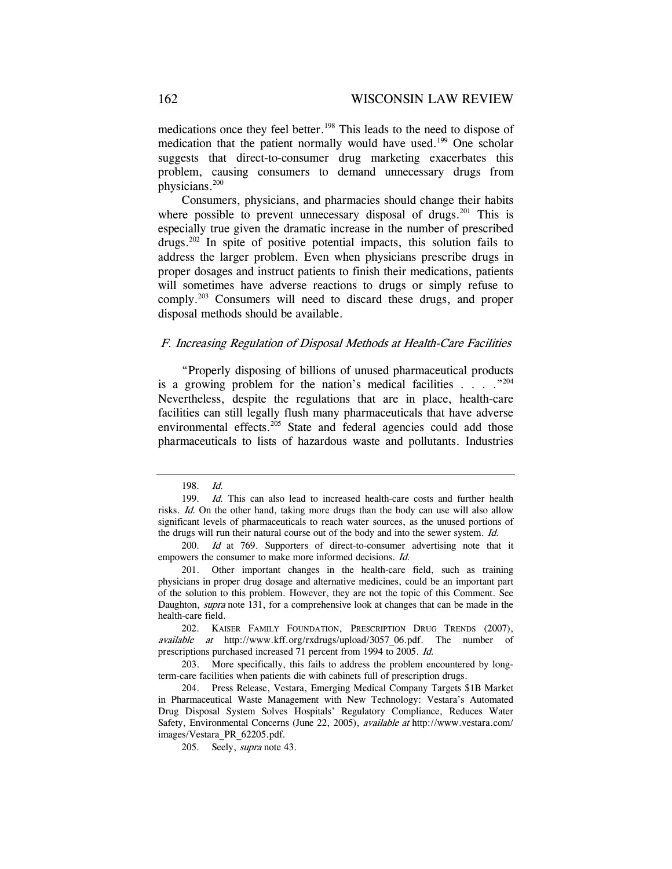medications once they feel better.<sup>198</sup> This leads to the need to dispose of medication that the patient normally would have used.<sup>199</sup> One scholar suggests that direct-to-consumer drug marketing exacerbates this problem, causing consumers to demand unnecessary drugs from physicians.200

Consumers, physicians, and pharmacies should change their habits where possible to prevent unnecessary disposal of drugs.<sup>201</sup> This is especially true given the dramatic increase in the number of prescribed  $drugs^{202}$  In spite of positive potential impacts, this solution fails to address the larger problem. Even when physicians prescribe drugs in proper dosages and instruct patients to finish their medications, patients will sometimes have adverse reactions to drugs or simply refuse to comply.203 Consumers will need to discard these drugs, and proper disposal methods should be available.

### F. Increasing Regulation of Disposal Methods at Health-Care Facilities

"Properly disposing of billions of unused pharmaceutical products is a growing problem for the nation's medical facilities  $\ldots$  ."204 Nevertheless, despite the regulations that are in place, health-care facilities can still legally flush many pharmaceuticals that have adverse environmental effects.<sup>205</sup> State and federal agencies could add those pharmaceuticals to lists of hazardous waste and pollutants. Industries

<sup>198.</sup> Id.

<sup>199.</sup> Id. This can also lead to increased health-care costs and further health risks. Id. On the other hand, taking more drugs than the body can use will also allow significant levels of pharmaceuticals to reach water sources, as the unused portions of the drugs will run their natural course out of the body and into the sewer system. Id.

<sup>200.</sup> Id at 769. Supporters of direct-to-consumer advertising note that it empowers the consumer to make more informed decisions. Id.

 <sup>201.</sup> Other important changes in the health-care field, such as training physicians in proper drug dosage and alternative medicines, could be an important part of the solution to this problem. However, they are not the topic of this Comment. See Daughton, *supra* note 131, for a comprehensive look at changes that can be made in the health-care field.

<sup>202.</sup> KAISER FAMILY FOUNDATION, PRESCRIPTION DRUG TRENDS (2007), available at http://www.kff.org/rxdrugs/upload/3057\_06.pdf. The number of prescriptions purchased increased 71 percent from 1994 to 2005. Id.

 <sup>203.</sup> More specifically, this fails to address the problem encountered by longterm-care facilities when patients die with cabinets full of prescription drugs.

 <sup>204.</sup> Press Release, Vestara, Emerging Medical Company Targets \$1B Market in Pharmaceutical Waste Management with New Technology: Vestara's Automated Drug Disposal System Solves Hospitals' Regulatory Compliance, Reduces Water Safety, Environmental Concerns (June 22, 2005), available at http://www.vestara.com/ images/Vestara\_PR\_62205.pdf.

 <sup>205.</sup> Seely, supra note 43.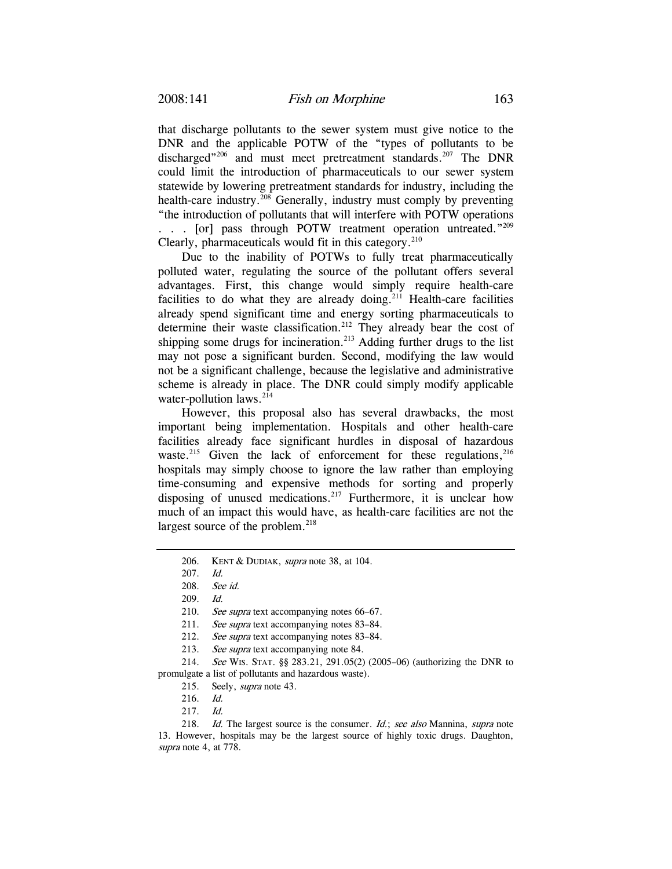that discharge pollutants to the sewer system must give notice to the DNR and the applicable POTW of the "types of pollutants to be discharged"<sup>206</sup> and must meet pretreatment standards.<sup>207</sup> The DNR could limit the introduction of pharmaceuticals to our sewer system statewide by lowering pretreatment standards for industry, including the health-care industry.<sup>208</sup> Generally, industry must comply by preventing "the introduction of pollutants that will interfere with POTW operations . . . [or] pass through POTW treatment operation untreated." $^{209}$ Clearly, pharmaceuticals would fit in this category.<sup>210</sup>

Due to the inability of POTWs to fully treat pharmaceutically polluted water, regulating the source of the pollutant offers several advantages. First, this change would simply require health-care facilities to do what they are already doing.<sup>211</sup> Health-care facilities already spend significant time and energy sorting pharmaceuticals to determine their waste classification.<sup>212</sup> They already bear the cost of shipping some drugs for incineration.<sup>213</sup> Adding further drugs to the list may not pose a significant burden. Second, modifying the law would not be a significant challenge, because the legislative and administrative scheme is already in place. The DNR could simply modify applicable water-pollution laws.<sup>214</sup>

However, this proposal also has several drawbacks, the most important being implementation. Hospitals and other health-care facilities already face significant hurdles in disposal of hazardous waste.<sup>215</sup> Given the lack of enforcement for these regulations, $216$ hospitals may simply choose to ignore the law rather than employing time-consuming and expensive methods for sorting and properly disposing of unused medications.<sup>217</sup> Furthermore, it is unclear how much of an impact this would have, as health-care facilities are not the largest source of the problem.<sup>218</sup>

212. See supra text accompanying notes 83–84.

<sup>206.</sup> KENT & DUDIAK, *supra* note 38, at 104.

<sup>207.</sup> Id.

<sup>208.</sup> See id.

<sup>209.</sup> Id.

<sup>210.</sup> See supra text accompanying notes 66–67.

<sup>211.</sup> See supra text accompanying notes 83–84.

<sup>213.</sup> See supra text accompanying note 84.

<sup>214.</sup> See WIS. STAT. §§ 283.21, 291.05(2) (2005–06) (authorizing the DNR to promulgate a list of pollutants and hazardous waste).

 <sup>215.</sup> Seely, supra note 43.

<sup>216.</sup> Id.

<sup>217.</sup> Id.

<sup>218.</sup> Id. The largest source is the consumer. Id.; see also Mannina, supra note 13. However, hospitals may be the largest source of highly toxic drugs. Daughton, supra note 4, at 778.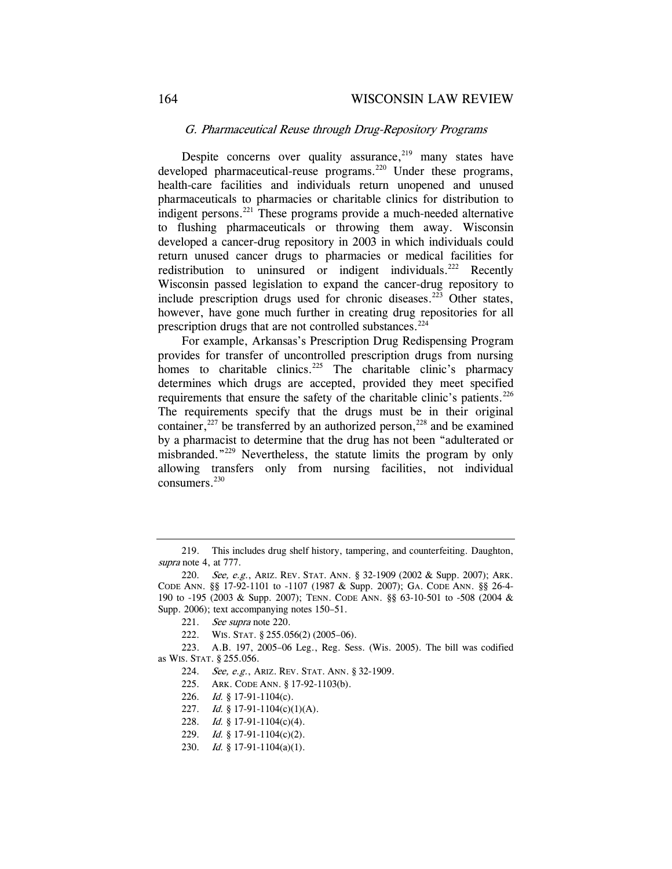### G. Pharmaceutical Reuse through Drug-Repository Programs

Despite concerns over quality assurance, $219$  many states have developed pharmaceutical-reuse programs.<sup>220</sup> Under these programs, health-care facilities and individuals return unopened and unused pharmaceuticals to pharmacies or charitable clinics for distribution to indigent persons.<sup>221</sup> These programs provide a much-needed alternative to flushing pharmaceuticals or throwing them away. Wisconsin developed a cancer-drug repository in 2003 in which individuals could return unused cancer drugs to pharmacies or medical facilities for redistribution to uninsured or indigent individuals.<sup>222</sup> Recently Wisconsin passed legislation to expand the cancer-drug repository to include prescription drugs used for chronic diseases.<sup>223</sup> Other states, however, have gone much further in creating drug repositories for all prescription drugs that are not controlled substances.<sup>224</sup>

For example, Arkansas's Prescription Drug Redispensing Program provides for transfer of uncontrolled prescription drugs from nursing homes to charitable clinics.<sup>225</sup> The charitable clinic's pharmacy determines which drugs are accepted, provided they meet specified requirements that ensure the safety of the charitable clinic's patients.<sup>226</sup> The requirements specify that the drugs must be in their original container,<sup>227</sup> be transferred by an authorized person,<sup>228</sup> and be examined by a pharmacist to determine that the drug has not been "adulterated or misbranded."229 Nevertheless, the statute limits the program by only allowing transfers only from nursing facilities, not individual consumers.<sup>230</sup>

 <sup>219.</sup> This includes drug shelf history, tampering, and counterfeiting. Daughton, supra note 4, at 777.

<sup>220.</sup> See, e.g., ARIZ. REV. STAT. ANN. § 32-1909 (2002 & Supp. 2007); ARK. CODE ANN. §§ 17-92-1101 to -1107 (1987 & Supp. 2007); GA. CODE ANN. §§ 26-4- 190 to -195 (2003 & Supp. 2007); TENN. CODE ANN. §§ 63-10-501 to -508 (2004 & Supp. 2006); text accompanying notes 150–51.

<sup>221.</sup> See supra note 220.

 <sup>222.</sup> WIS. STAT. § 255.056(2) (2005–06).

 <sup>223.</sup> A.B. 197, 2005–06 Leg., Reg. Sess. (Wis. 2005). The bill was codified as WIS. STAT. § 255.056.

<sup>224.</sup> See, e.g., ARIZ. REV. STAT. ANN. § 32-1909.

 <sup>225.</sup> ARK. CODE ANN. § 17-92-1103(b).

<sup>226.</sup> Id. § 17-91-1104(c).

<sup>227.</sup> *Id.* § 17-91-1104(c)(1)(A).

<sup>228.</sup> Id. § 17-91-1104(c)(4).

<sup>229.</sup> *Id.* § 17-91-1104(c)(2).

<sup>230.</sup> *Id.* § 17-91-1104(a)(1).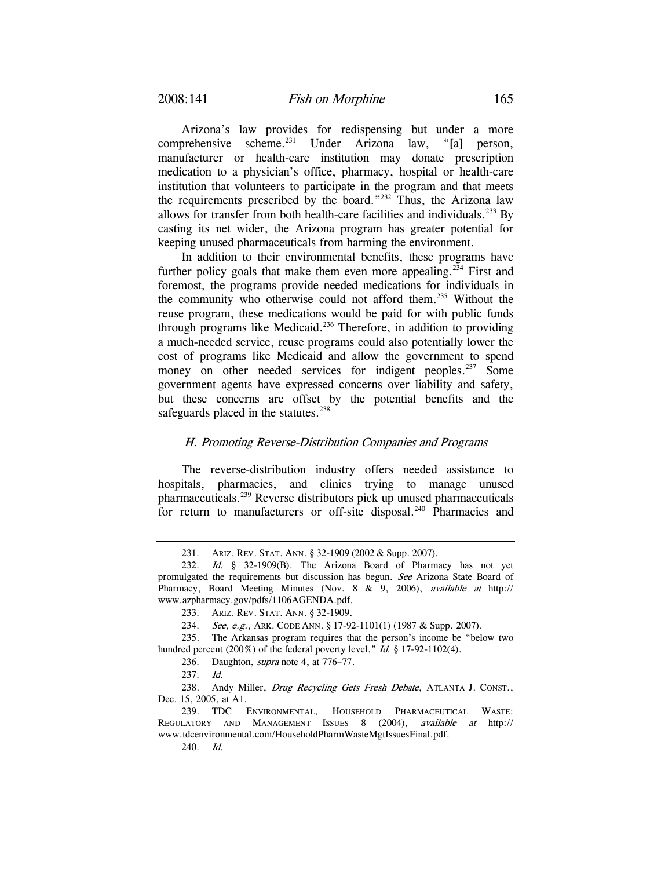Arizona's law provides for redispensing but under a more comprehensive scheme.231 Under Arizona law, "[a] person, manufacturer or health-care institution may donate prescription medication to a physician's office, pharmacy, hospital or health-care institution that volunteers to participate in the program and that meets the requirements prescribed by the board."232 Thus, the Arizona law allows for transfer from both health-care facilities and individuals.<sup>233</sup> By casting its net wider, the Arizona program has greater potential for keeping unused pharmaceuticals from harming the environment.

In addition to their environmental benefits, these programs have further policy goals that make them even more appealing.<sup>234</sup> First and foremost, the programs provide needed medications for individuals in the community who otherwise could not afford them.235 Without the reuse program, these medications would be paid for with public funds through programs like Medicaid.<sup>236</sup> Therefore, in addition to providing a much-needed service, reuse programs could also potentially lower the cost of programs like Medicaid and allow the government to spend money on other needed services for indigent peoples.<sup>237</sup> Some government agents have expressed concerns over liability and safety, but these concerns are offset by the potential benefits and the safeguards placed in the statutes. $238$ 

### H. Promoting Reverse-Distribution Companies and Programs

The reverse-distribution industry offers needed assistance to hospitals, pharmacies, and clinics trying to manage unused pharmaceuticals.239 Reverse distributors pick up unused pharmaceuticals for return to manufacturers or off-site disposal.<sup>240</sup> Pharmacies and

 <sup>231.</sup> ARIZ. REV. STAT. ANN. § 32-1909 (2002 & Supp. 2007).

<sup>232.</sup> Id. § 32-1909(B). The Arizona Board of Pharmacy has not yet promulgated the requirements but discussion has begun. See Arizona State Board of Pharmacy, Board Meeting Minutes (Nov. 8 & 9, 2006), available at http:// www.azpharmacy.gov/pdfs/1106AGENDA.pdf.

 <sup>233.</sup> ARIZ. REV. STAT. ANN. § 32-1909.

<sup>234.</sup> See, e.g., ARK. CODE ANN. § 17-92-1101(1) (1987 & Supp. 2007).

 <sup>235.</sup> The Arkansas program requires that the person's income be "below two hundred percent (200%) of the federal poverty level." Id. § 17-92-1102(4).

<sup>236.</sup> Daughton, *supra* note 4, at 776–77.

<sup>237.</sup> Id.

<sup>238.</sup> Andy Miller, Drug Recycling Gets Fresh Debate, ATLANTA J. CONST., Dec. 15, 2005, at A1.

 <sup>239.</sup> TDC ENVIRONMENTAL, HOUSEHOLD PHARMACEUTICAL WASTE: REGULATORY AND MANAGEMENT ISSUES 8 (2004), available at http:// www.tdcenvironmental.com/HouseholdPharmWasteMgtIssuesFinal.pdf.

<sup>240.</sup> Id.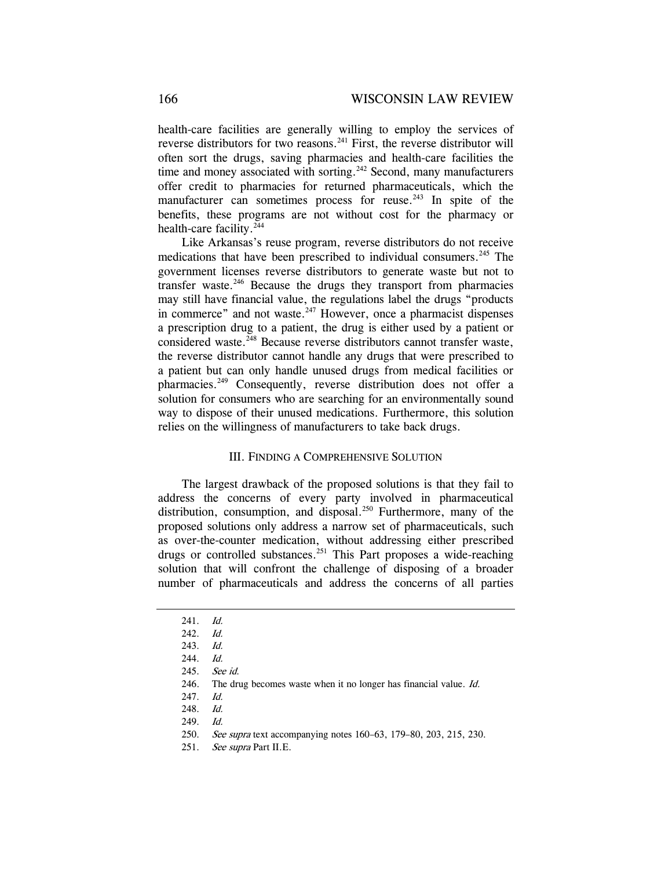health-care facilities are generally willing to employ the services of reverse distributors for two reasons.<sup>241</sup> First, the reverse distributor will often sort the drugs, saving pharmacies and health-care facilities the time and money associated with sorting.<sup>242</sup> Second, many manufacturers offer credit to pharmacies for returned pharmaceuticals, which the manufacturer can sometimes process for reuse.<sup> $243$ </sup> In spite of the benefits, these programs are not without cost for the pharmacy or health-care facility. $244$ 

Like Arkansas's reuse program, reverse distributors do not receive medications that have been prescribed to individual consumers.<sup>245</sup> The government licenses reverse distributors to generate waste but not to transfer waste.246 Because the drugs they transport from pharmacies may still have financial value, the regulations label the drugs "products in commerce" and not waste.<sup>247</sup> However, once a pharmacist dispenses a prescription drug to a patient, the drug is either used by a patient or considered waste.<sup>248</sup> Because reverse distributors cannot transfer waste, the reverse distributor cannot handle any drugs that were prescribed to a patient but can only handle unused drugs from medical facilities or pharmacies.249 Consequently, reverse distribution does not offer a solution for consumers who are searching for an environmentally sound way to dispose of their unused medications. Furthermore, this solution relies on the willingness of manufacturers to take back drugs.

#### III. FINDING A COMPREHENSIVE SOLUTION

The largest drawback of the proposed solutions is that they fail to address the concerns of every party involved in pharmaceutical distribution, consumption, and disposal.<sup>250</sup> Furthermore, many of the proposed solutions only address a narrow set of pharmaceuticals, such as over-the-counter medication, without addressing either prescribed drugs or controlled substances.<sup>251</sup> This Part proposes a wide-reaching solution that will confront the challenge of disposing of a broader number of pharmaceuticals and address the concerns of all parties

<sup>241.</sup> Id.

<sup>242.</sup> Id.

<sup>243.</sup> Id.

<sup>244.</sup> Id.

<sup>245.</sup> See id.

 <sup>246.</sup> The drug becomes waste when it no longer has financial value. Id.

<sup>247.</sup> Id.

<sup>248.</sup> Id.

<sup>249.</sup> Id.

<sup>250.</sup> See supra text accompanying notes 160–63, 179–80, 203, 215, 230.

<sup>251.</sup> See supra Part II.E.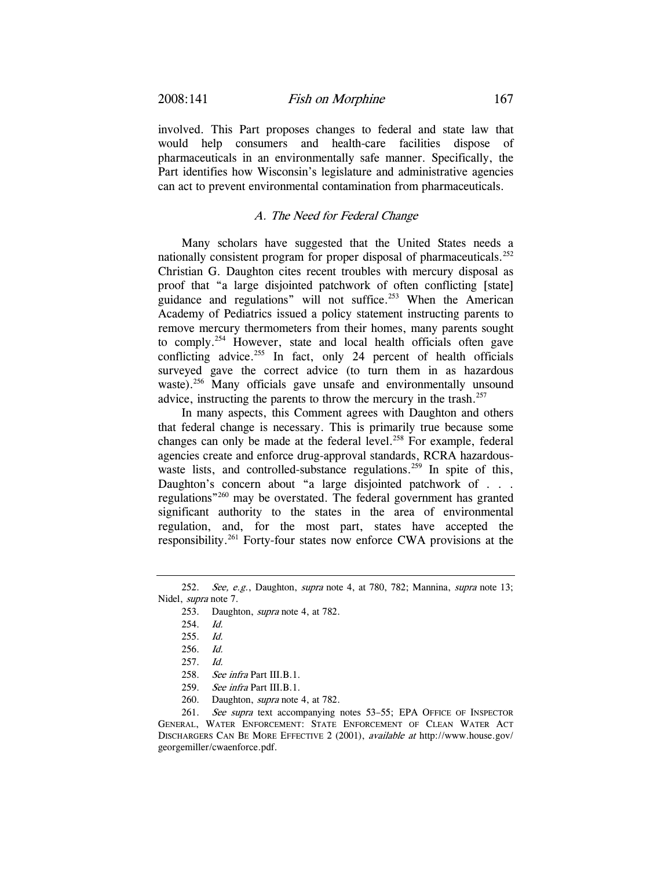involved. This Part proposes changes to federal and state law that would help consumers and health-care facilities dispose of pharmaceuticals in an environmentally safe manner. Specifically, the Part identifies how Wisconsin's legislature and administrative agencies can act to prevent environmental contamination from pharmaceuticals.

### A. The Need for Federal Change

Many scholars have suggested that the United States needs a nationally consistent program for proper disposal of pharmaceuticals.<sup>252</sup> Christian G. Daughton cites recent troubles with mercury disposal as proof that "a large disjointed patchwork of often conflicting [state] guidance and regulations" will not suffice.<sup>253</sup> When the American Academy of Pediatrics issued a policy statement instructing parents to remove mercury thermometers from their homes, many parents sought to comply.<sup>254</sup> However, state and local health officials often gave conflicting advice.<sup>255</sup> In fact, only 24 percent of health officials surveyed gave the correct advice (to turn them in as hazardous waste).<sup>256</sup> Many officials gave unsafe and environmentally unsound advice, instructing the parents to throw the mercury in the trash. $257$ 

In many aspects, this Comment agrees with Daughton and others that federal change is necessary. This is primarily true because some changes can only be made at the federal level.<sup>258</sup> For example, federal agencies create and enforce drug-approval standards, RCRA hazardouswaste lists, and controlled-substance regulations.<sup>259</sup> In spite of this, Daughton's concern about "a large disjointed patchwork of . . . regulations"260 may be overstated. The federal government has granted significant authority to the states in the area of environmental regulation, and, for the most part, states have accepted the responsibility.261 Forty-four states now enforce CWA provisions at the

260. Daughton, supra note 4, at 782.

<sup>252.</sup> See, e.g., Daughton, supra note 4, at 780, 782; Mannina, supra note 13; Nidel, supra note 7.

 <sup>253.</sup> Daughton, supra note 4, at 782.

<sup>254.</sup> Id.

<sup>255.</sup> Id.

<sup>256.</sup> Id.

<sup>257.</sup> Id.

<sup>258.</sup> See infra Part III.B.1.

<sup>259.</sup> See infra Part III.B.1.

<sup>261.</sup> See supra text accompanying notes 53-55; EPA OFFICE OF INSPECTOR GENERAL, WATER ENFORCEMENT: STATE ENFORCEMENT OF CLEAN WATER ACT DISCHARGERS CAN BE MORE EFFECTIVE 2 (2001), available at http://www.house.gov/ georgemiller/cwaenforce.pdf.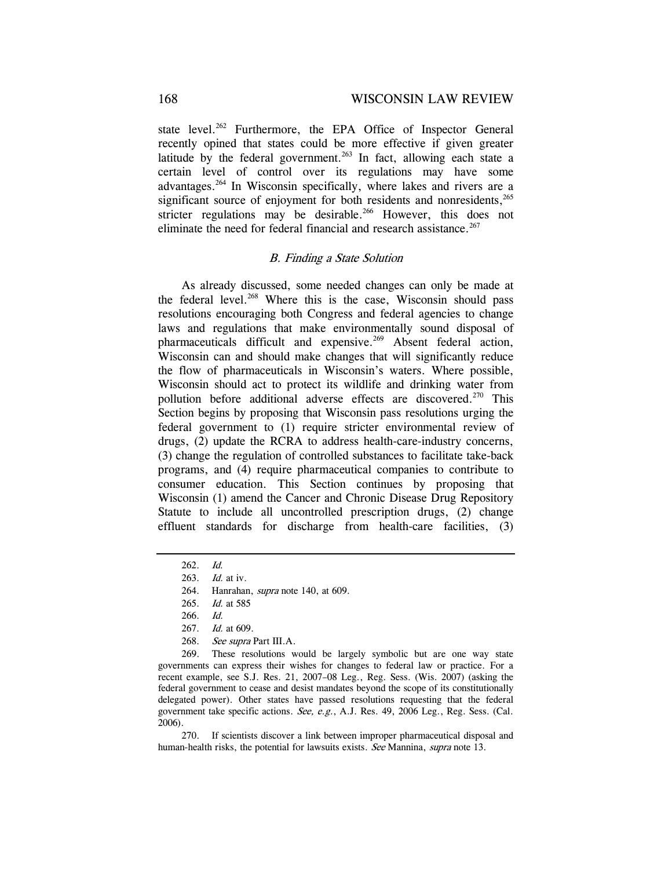state level.<sup>262</sup> Furthermore, the EPA Office of Inspector General recently opined that states could be more effective if given greater latitude by the federal government.<sup>263</sup> In fact, allowing each state a certain level of control over its regulations may have some advantages.264 In Wisconsin specifically, where lakes and rivers are a significant source of enjoyment for both residents and nonresidents,<sup>265</sup> stricter regulations may be desirable.<sup>266</sup> However, this does not eliminate the need for federal financial and research assistance.<sup>267</sup>

#### B. Finding a State Solution

As already discussed, some needed changes can only be made at the federal level.<sup>268</sup> Where this is the case, Wisconsin should pass resolutions encouraging both Congress and federal agencies to change laws and regulations that make environmentally sound disposal of pharmaceuticals difficult and expensive.<sup>269</sup> Absent federal action, Wisconsin can and should make changes that will significantly reduce the flow of pharmaceuticals in Wisconsin's waters. Where possible, Wisconsin should act to protect its wildlife and drinking water from pollution before additional adverse effects are discovered.<sup>270</sup> This Section begins by proposing that Wisconsin pass resolutions urging the federal government to (1) require stricter environmental review of drugs, (2) update the RCRA to address health-care-industry concerns, (3) change the regulation of controlled substances to facilitate take-back programs, and (4) require pharmaceutical companies to contribute to consumer education. This Section continues by proposing that Wisconsin (1) amend the Cancer and Chronic Disease Drug Repository Statute to include all uncontrolled prescription drugs, (2) change effluent standards for discharge from health-care facilities, (3)

 269. These resolutions would be largely symbolic but are one way state governments can express their wishes for changes to federal law or practice. For a recent example, see S.J. Res. 21, 2007–08 Leg., Reg. Sess. (Wis. 2007) (asking the federal government to cease and desist mandates beyond the scope of its constitutionally delegated power). Other states have passed resolutions requesting that the federal government take specific actions. See, e.g., A.J. Res. 49, 2006 Leg., Reg. Sess. (Cal. 2006).

 270. If scientists discover a link between improper pharmaceutical disposal and human-health risks, the potential for lawsuits exists. See Mannina, supra note 13.

<sup>262.</sup> Id.

<sup>263.</sup> Id. at iv.

 <sup>264.</sup> Hanrahan, supra note 140, at 609.

<sup>265.</sup> *Id.* at 585

<sup>266.</sup> Id.

<sup>267.</sup> Id. at 609.

<sup>268.</sup> See supra Part III.A.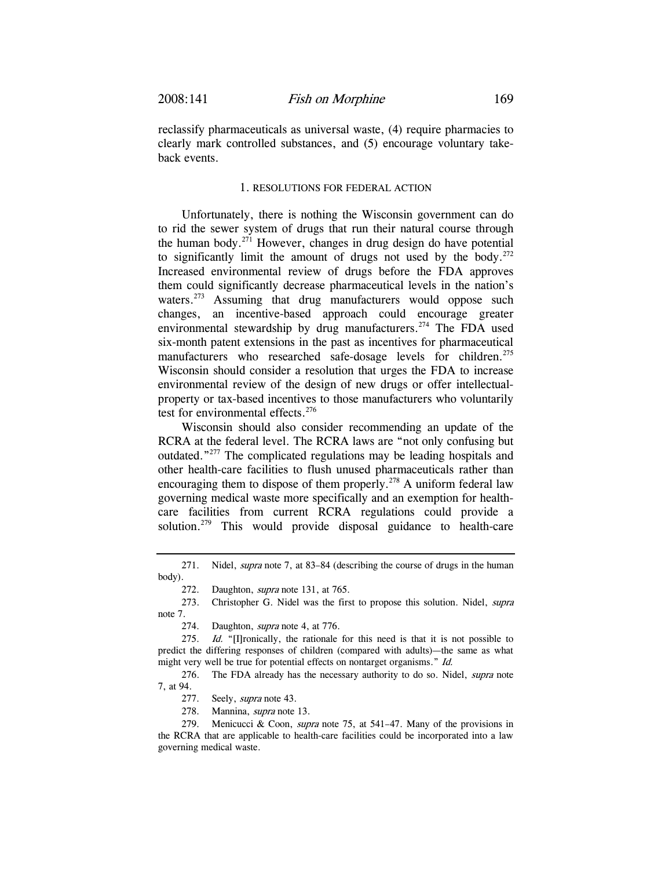reclassify pharmaceuticals as universal waste, (4) require pharmacies to clearly mark controlled substances, and (5) encourage voluntary takeback events.

#### 1. RESOLUTIONS FOR FEDERAL ACTION

Unfortunately, there is nothing the Wisconsin government can do to rid the sewer system of drugs that run their natural course through the human body.<sup>271</sup> However, changes in drug design do have potential to significantly limit the amount of drugs not used by the body.<sup>272</sup> Increased environmental review of drugs before the FDA approves them could significantly decrease pharmaceutical levels in the nation's waters.<sup>273</sup> Assuming that drug manufacturers would oppose such changes, an incentive-based approach could encourage greater environmental stewardship by drug manufacturers.<sup>274</sup> The FDA used six-month patent extensions in the past as incentives for pharmaceutical manufacturers who researched safe-dosage levels for children.<sup>275</sup> Wisconsin should consider a resolution that urges the FDA to increase environmental review of the design of new drugs or offer intellectualproperty or tax-based incentives to those manufacturers who voluntarily test for environmental effects. $276$ 

Wisconsin should also consider recommending an update of the RCRA at the federal level. The RCRA laws are "not only confusing but outdated."277 The complicated regulations may be leading hospitals and other health-care facilities to flush unused pharmaceuticals rather than encouraging them to dispose of them properly.<sup>278</sup> A uniform federal law governing medical waste more specifically and an exemption for healthcare facilities from current RCRA regulations could provide a solution.<sup>279</sup> This would provide disposal guidance to health-care

<sup>271.</sup> Nidel, *supra* note 7, at 83–84 (describing the course of drugs in the human body).

<sup>272.</sup> Daughton, *supra* note 131, at 765.

 <sup>273.</sup> Christopher G. Nidel was the first to propose this solution. Nidel, supra note 7.

 <sup>274.</sup> Daughton, supra note 4, at 776.

<sup>275.</sup> Id. "[I]ronically, the rationale for this need is that it is not possible to predict the differing responses of children (compared with adults)—the same as what might very well be true for potential effects on nontarget organisms." Id.

<sup>276.</sup> The FDA already has the necessary authority to do so. Nidel, *supra* note 7, at 94.

<sup>277.</sup> Seely, *supra* note 43.

 <sup>278.</sup> Mannina, supra note 13.

 <sup>279.</sup> Menicucci & Coon, supra note 75, at 541–47. Many of the provisions in the RCRA that are applicable to health-care facilities could be incorporated into a law governing medical waste.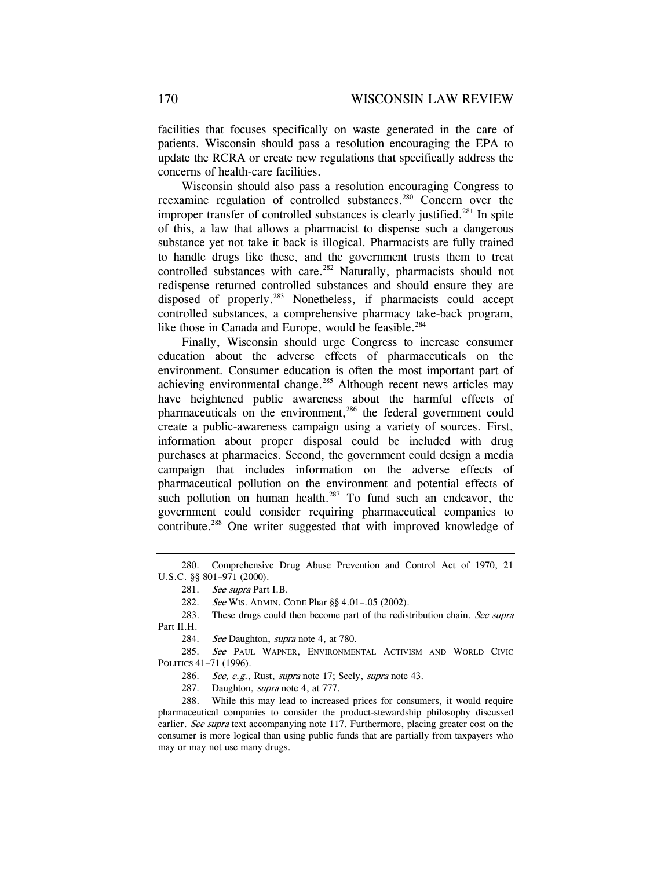facilities that focuses specifically on waste generated in the care of patients. Wisconsin should pass a resolution encouraging the EPA to update the RCRA or create new regulations that specifically address the concerns of health-care facilities.

Wisconsin should also pass a resolution encouraging Congress to reexamine regulation of controlled substances.280 Concern over the improper transfer of controlled substances is clearly justified.<sup>281</sup> In spite of this, a law that allows a pharmacist to dispense such a dangerous substance yet not take it back is illogical. Pharmacists are fully trained to handle drugs like these, and the government trusts them to treat controlled substances with care.<sup>282</sup> Naturally, pharmacists should not redispense returned controlled substances and should ensure they are disposed of properly.283 Nonetheless, if pharmacists could accept controlled substances, a comprehensive pharmacy take-back program, like those in Canada and Europe, would be feasible.<sup>284</sup>

Finally, Wisconsin should urge Congress to increase consumer education about the adverse effects of pharmaceuticals on the environment. Consumer education is often the most important part of achieving environmental change.<sup>285</sup> Although recent news articles may have heightened public awareness about the harmful effects of pharmaceuticals on the environment,<sup>286</sup> the federal government could create a public-awareness campaign using a variety of sources. First, information about proper disposal could be included with drug purchases at pharmacies. Second, the government could design a media campaign that includes information on the adverse effects of pharmaceutical pollution on the environment and potential effects of such pollution on human health. $287$  To fund such an endeavor, the government could consider requiring pharmaceutical companies to contribute.288 One writer suggested that with improved knowledge of

282. See WIS. ADMIN. CODE Phar §§ 4.01–.05 (2002).

283. These drugs could then become part of the redistribution chain. See supra Part II.H.

284. See Daughton, *supra* note 4, at 780.

285. See PAUL WAPNER, ENVIRONMENTAL ACTIVISM AND WORLD CIVIC POLITICS 41–71 (1996).

286. See, e.g., Rust, supra note 17; Seely, supra note 43.

287. Daughton, *supra* note 4, at 777.

 288. While this may lead to increased prices for consumers, it would require pharmaceutical companies to consider the product-stewardship philosophy discussed earlier. See supra text accompanying note 117. Furthermore, placing greater cost on the consumer is more logical than using public funds that are partially from taxpayers who may or may not use many drugs.

 <sup>280.</sup> Comprehensive Drug Abuse Prevention and Control Act of 1970, 21 U.S.C. §§ 801–971 (2000).

<sup>281.</sup> See supra Part I.B.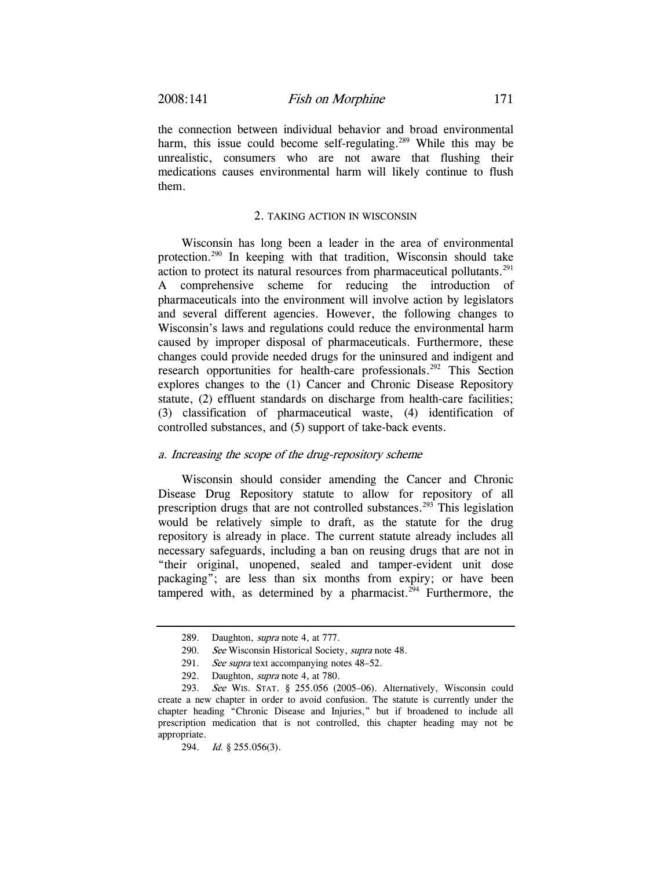the connection between individual behavior and broad environmental harm, this issue could become self-regulating.<sup>289</sup> While this may be unrealistic, consumers who are not aware that flushing their medications causes environmental harm will likely continue to flush them.

#### 2. TAKING ACTION IN WISCONSIN

Wisconsin has long been a leader in the area of environmental protection.290 In keeping with that tradition, Wisconsin should take action to protect its natural resources from pharmaceutical pollutants.<sup>291</sup> A comprehensive scheme for reducing the introduction of pharmaceuticals into the environment will involve action by legislators and several different agencies. However, the following changes to Wisconsin's laws and regulations could reduce the environmental harm caused by improper disposal of pharmaceuticals. Furthermore, these changes could provide needed drugs for the uninsured and indigent and research opportunities for health-care professionals.<sup>292</sup> This Section explores changes to the (1) Cancer and Chronic Disease Repository statute, (2) effluent standards on discharge from health-care facilities; (3) classification of pharmaceutical waste, (4) identification of controlled substances, and (5) support of take-back events.

### a. Increasing the scope of the drug-repository scheme

Wisconsin should consider amending the Cancer and Chronic Disease Drug Repository statute to allow for repository of all prescription drugs that are not controlled substances.<sup>293</sup> This legislation would be relatively simple to draft, as the statute for the drug repository is already in place. The current statute already includes all necessary safeguards, including a ban on reusing drugs that are not in "their original, unopened, sealed and tamper-evident unit dose packaging"; are less than six months from expiry; or have been tampered with, as determined by a pharmacist.<sup> $294$ </sup> Furthermore, the

 <sup>289.</sup> Daughton, supra note 4, at 777.

<sup>290.</sup> See Wisconsin Historical Society, supra note 48.

<sup>291.</sup> See supra text accompanying notes 48–52.

 <sup>292.</sup> Daughton, supra note 4, at 780.

<sup>293.</sup> See WIS. STAT. § 255.056 (2005–06). Alternatively, Wisconsin could create a new chapter in order to avoid confusion. The statute is currently under the chapter heading "Chronic Disease and Injuries," but if broadened to include all prescription medication that is not controlled, this chapter heading may not be appropriate.

<sup>294.</sup> Id. § 255.056(3).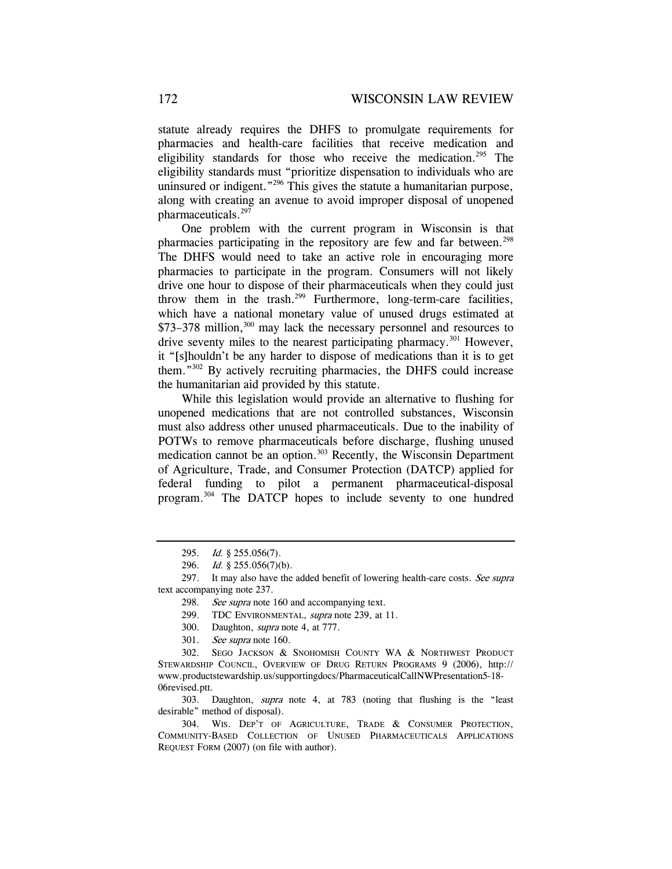statute already requires the DHFS to promulgate requirements for pharmacies and health-care facilities that receive medication and eligibility standards for those who receive the medication.<sup>295</sup> The eligibility standards must "prioritize dispensation to individuals who are uninsured or indigent."<sup>296</sup> This gives the statute a humanitarian purpose, along with creating an avenue to avoid improper disposal of unopened pharmaceuticals.<sup>297</sup>

One problem with the current program in Wisconsin is that pharmacies participating in the repository are few and far between.<sup>298</sup> The DHFS would need to take an active role in encouraging more pharmacies to participate in the program. Consumers will not likely drive one hour to dispose of their pharmaceuticals when they could just throw them in the trash. $299$  Furthermore, long-term-care facilities, which have a national monetary value of unused drugs estimated at \$73–378 million,<sup>300</sup> may lack the necessary personnel and resources to drive seventy miles to the nearest participating pharmacy.<sup>301</sup> However, it "[s]houldn't be any harder to dispose of medications than it is to get them."302 By actively recruiting pharmacies, the DHFS could increase the humanitarian aid provided by this statute.

While this legislation would provide an alternative to flushing for unopened medications that are not controlled substances, Wisconsin must also address other unused pharmaceuticals. Due to the inability of POTWs to remove pharmaceuticals before discharge, flushing unused medication cannot be an option.303 Recently, the Wisconsin Department of Agriculture, Trade, and Consumer Protection (DATCP) applied for federal funding to pilot a permanent pharmaceutical-disposal program.304 The DATCP hopes to include seventy to one hundred

 303. Daughton, supra note 4, at 783 (noting that flushing is the "least desirable" method of disposal).

<sup>295.</sup> Id. § 255.056(7).

<sup>296.</sup> Id. § 255.056(7)(b).

<sup>297.</sup> It may also have the added benefit of lowering health-care costs. See supra text accompanying note 237.

<sup>298.</sup> See supra note 160 and accompanying text.

 <sup>299.</sup> TDC ENVIRONMENTAL, supra note 239, at 11.

 <sup>300.</sup> Daughton, supra note 4, at 777.

<sup>301.</sup> See supra note 160.

 <sup>302.</sup> SEGO JACKSON & SNOHOMISH COUNTY WA & NORTHWEST PRODUCT STEWARDSHIP COUNCIL, OVERVIEW OF DRUG RETURN PROGRAMS 9 (2006), http:// www.productstewardship.us/supportingdocs/PharmaceuticalCallNWPresentation5-18- 06revised.ptt.

 <sup>304.</sup> WIS. DEP'T OF AGRICULTURE, TRADE & CONSUMER PROTECTION, COMMUNITY-BASED COLLECTION OF UNUSED PHARMACEUTICALS APPLICATIONS REQUEST FORM (2007) (on file with author).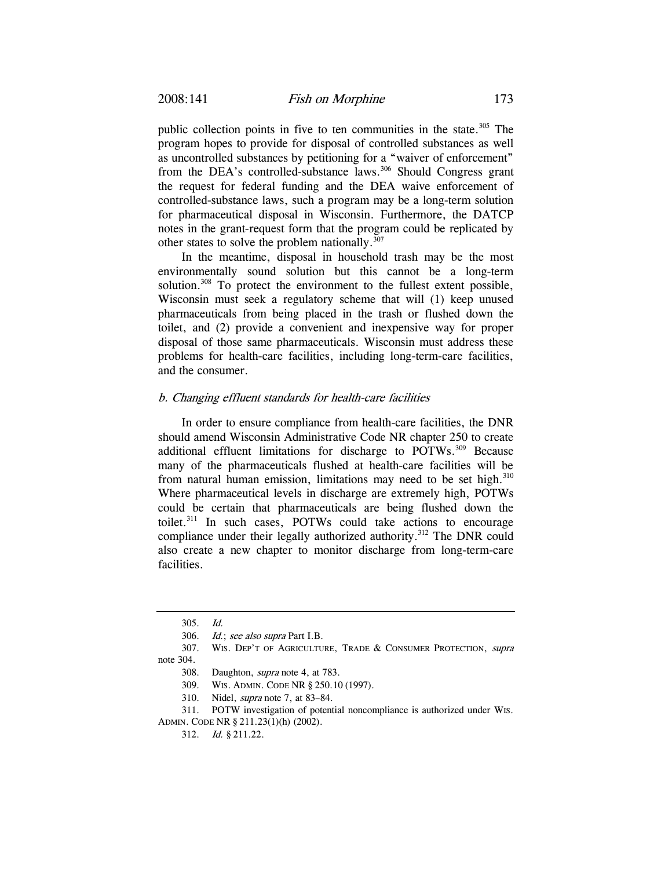public collection points in five to ten communities in the state.<sup>305</sup> The program hopes to provide for disposal of controlled substances as well as uncontrolled substances by petitioning for a "waiver of enforcement" from the DEA's controlled-substance laws.<sup>306</sup> Should Congress grant the request for federal funding and the DEA waive enforcement of controlled-substance laws, such a program may be a long-term solution for pharmaceutical disposal in Wisconsin. Furthermore, the DATCP notes in the grant-request form that the program could be replicated by other states to solve the problem nationally.<sup>307</sup>

In the meantime, disposal in household trash may be the most environmentally sound solution but this cannot be a long-term solution.<sup>308</sup> To protect the environment to the fullest extent possible, Wisconsin must seek a regulatory scheme that will (1) keep unused pharmaceuticals from being placed in the trash or flushed down the toilet, and (2) provide a convenient and inexpensive way for proper disposal of those same pharmaceuticals. Wisconsin must address these problems for health-care facilities, including long-term-care facilities, and the consumer.

### b. Changing effluent standards for health-care facilities

In order to ensure compliance from health-care facilities, the DNR should amend Wisconsin Administrative Code NR chapter 250 to create additional effluent limitations for discharge to POTWs.309 Because many of the pharmaceuticals flushed at health-care facilities will be from natural human emission, limitations may need to be set high.<sup>310</sup> Where pharmaceutical levels in discharge are extremely high, POTWs could be certain that pharmaceuticals are being flushed down the toilet.311 In such cases, POTWs could take actions to encourage compliance under their legally authorized authority.<sup>312</sup> The DNR could also create a new chapter to monitor discharge from long-term-care facilities.

 311. POTW investigation of potential noncompliance is authorized under WIS. ADMIN. CODE NR § 211.23(1)(h) (2002).

<sup>305.</sup> Id.

<sup>306.</sup> Id.; see also supra Part I.B.

<sup>307.</sup> WIS. DEP'T OF AGRICULTURE, TRADE & CONSUMER PROTECTION, supra note 304.

 <sup>308.</sup> Daughton, supra note 4, at 783.

 <sup>309.</sup> WIS. ADMIN. CODE NR § 250.10 (1997).

 <sup>310.</sup> Nidel, supra note 7, at 83–84.

<sup>312.</sup> Id. § 211.22.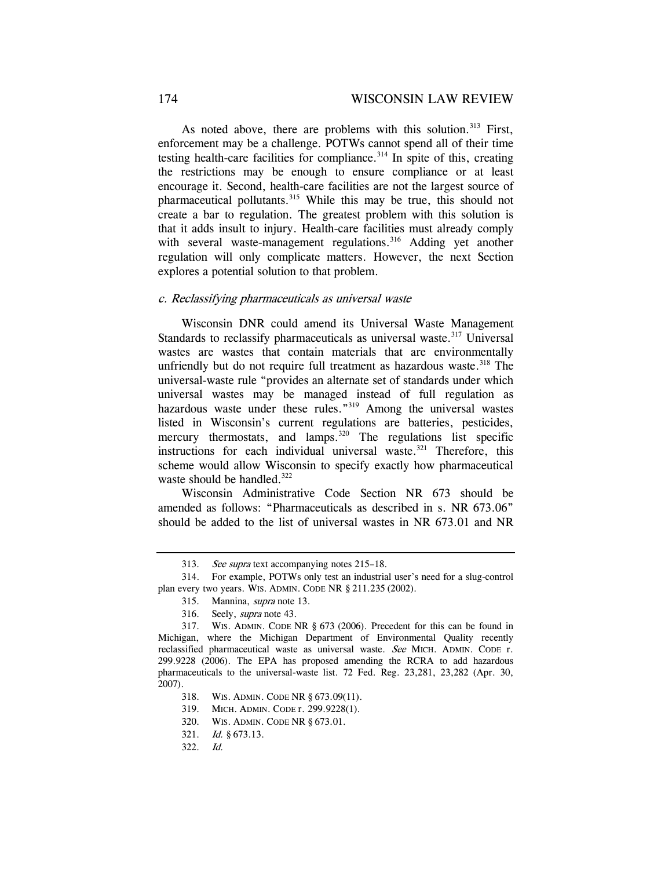As noted above, there are problems with this solution.<sup>313</sup> First, enforcement may be a challenge. POTWs cannot spend all of their time testing health-care facilities for compliance.<sup>314</sup> In spite of this, creating the restrictions may be enough to ensure compliance or at least encourage it. Second, health-care facilities are not the largest source of pharmaceutical pollutants.315 While this may be true, this should not create a bar to regulation. The greatest problem with this solution is that it adds insult to injury. Health-care facilities must already comply with several waste-management regulations.<sup>316</sup> Adding yet another regulation will only complicate matters. However, the next Section explores a potential solution to that problem.

#### c. Reclassifying pharmaceuticals as universal waste

Wisconsin DNR could amend its Universal Waste Management Standards to reclassify pharmaceuticals as universal waste.<sup>317</sup> Universal wastes are wastes that contain materials that are environmentally unfriendly but do not require full treatment as hazardous waste. $318$  The universal-waste rule "provides an alternate set of standards under which universal wastes may be managed instead of full regulation as hazardous waste under these rules."<sup>319</sup> Among the universal wastes listed in Wisconsin's current regulations are batteries, pesticides, mercury thermostats, and lamps.<sup>320</sup> The regulations list specific instructions for each individual universal waste.<sup>321</sup> Therefore, this scheme would allow Wisconsin to specify exactly how pharmaceutical waste should be handled.<sup>322</sup>

Wisconsin Administrative Code Section NR 673 should be amended as follows: "Pharmaceuticals as described in s. NR 673.06" should be added to the list of universal wastes in NR 673.01 and NR

315. Mannina, supra note 13.

<sup>313.</sup> See supra text accompanying notes 215–18.

 <sup>314.</sup> For example, POTWs only test an industrial user's need for a slug-control plan every two years. WIS. ADMIN. CODE NR § 211.235 (2002).

 <sup>316.</sup> Seely, supra note 43.

 <sup>317.</sup> WIS. ADMIN. CODE NR § 673 (2006). Precedent for this can be found in Michigan, where the Michigan Department of Environmental Quality recently reclassified pharmaceutical waste as universal waste. See MICH. ADMIN. CODE r. 299.9228 (2006). The EPA has proposed amending the RCRA to add hazardous pharmaceuticals to the universal-waste list. 72 Fed. Reg. 23,281, 23,282 (Apr. 30, 2007).

 <sup>318.</sup> WIS. ADMIN. CODE NR § 673.09(11).

 <sup>319.</sup> MICH. ADMIN. CODE r. 299.9228(1).

 <sup>320.</sup> WIS. ADMIN. CODE NR § 673.01.

<sup>321.</sup> Id. § 673.13.

<sup>322.</sup> Id.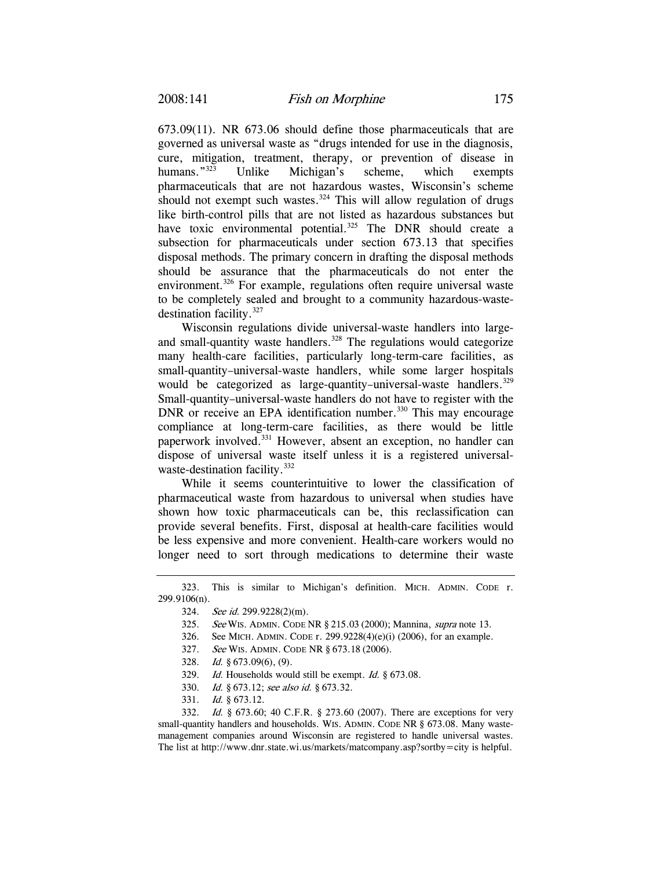673.09(11). NR 673.06 should define those pharmaceuticals that are governed as universal waste as "drugs intended for use in the diagnosis, cure, mitigation, treatment, therapy, or prevention of disease in humans."<sup>323</sup> Unlike Michigan's scheme, which exempts pharmaceuticals that are not hazardous wastes, Wisconsin's scheme should not exempt such wastes. $324$  This will allow regulation of drugs like birth-control pills that are not listed as hazardous substances but have toxic environmental potential.<sup>325</sup> The DNR should create a subsection for pharmaceuticals under section 673.13 that specifies disposal methods. The primary concern in drafting the disposal methods should be assurance that the pharmaceuticals do not enter the environment.<sup>326</sup> For example, regulations often require universal waste to be completely sealed and brought to a community hazardous-wastedestination facility.327

Wisconsin regulations divide universal-waste handlers into largeand small-quantity waste handlers.<sup>328</sup> The regulations would categorize many health-care facilities, particularly long-term-care facilities, as small-quantity–universal-waste handlers, while some larger hospitals would be categorized as large-quantity–universal-waste handlers.<sup>329</sup> Small-quantity–universal-waste handlers do not have to register with the DNR or receive an EPA identification number.<sup>330</sup> This may encourage compliance at long-term-care facilities, as there would be little paperwork involved.331 However, absent an exception, no handler can dispose of universal waste itself unless it is a registered universalwaste-destination facility.<sup>332</sup>

While it seems counterintuitive to lower the classification of pharmaceutical waste from hazardous to universal when studies have shown how toxic pharmaceuticals can be, this reclassification can provide several benefits. First, disposal at health-care facilities would be less expensive and more convenient. Health-care workers would no longer need to sort through medications to determine their waste

- 326. See MICH. ADMIN. CODE r. 299.9228(4)(e)(i) (2006), for an example.
- 327. See WIS. ADMIN. CODE NR § 673.18 (2006).
- 328. Id. § 673.09(6), (9).
- 329. Id. Households would still be exempt. Id. § 673.08.
- 330. Id. § 673.12; see also id. § 673.32.
- 331. Id. § 673.12.

332. Id. § 673.60; 40 C.F.R. § 273.60 (2007). There are exceptions for very small-quantity handlers and households. WIS. ADMIN. CODE NR § 673.08. Many wastemanagement companies around Wisconsin are registered to handle universal wastes. The list at http://www.dnr.state.wi.us/markets/matcompany.asp?sortby=city is helpful.

 <sup>323.</sup> This is similar to Michigan's definition. MICH. ADMIN. CODE r. 299.9106(n).

<sup>324.</sup> See id. 299.9228(2)(m).

<sup>325.</sup> See WIS. ADMIN. CODE NR § 215.03 (2000); Mannina, *supra* note 13.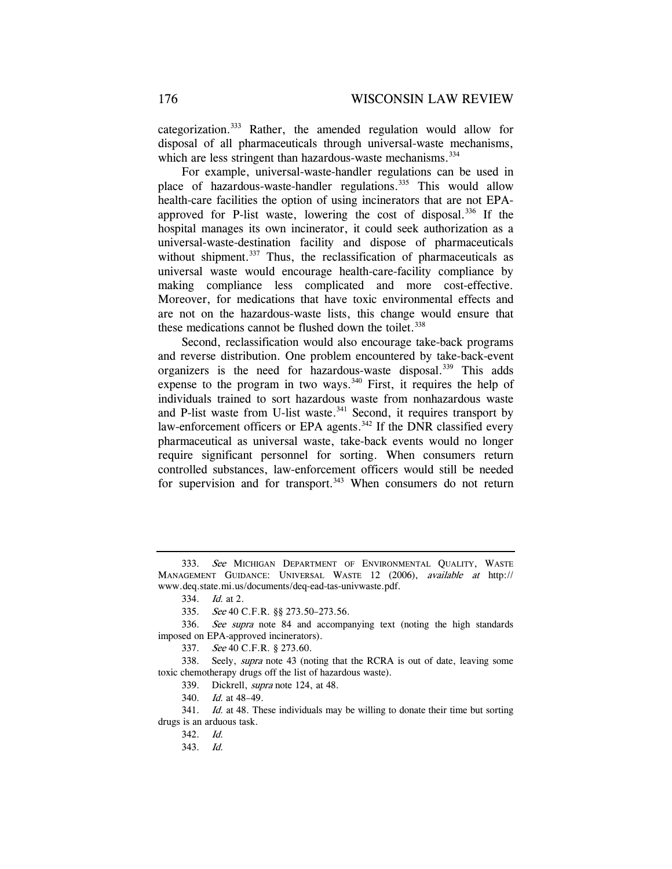categorization.333 Rather, the amended regulation would allow for disposal of all pharmaceuticals through universal-waste mechanisms, which are less stringent than hazardous-waste mechanisms.<sup>334</sup>

For example, universal-waste-handler regulations can be used in place of hazardous-waste-handler regulations.<sup>335</sup> This would allow health-care facilities the option of using incinerators that are not EPAapproved for P-list waste, lowering the cost of disposal.<sup>336</sup> If the hospital manages its own incinerator, it could seek authorization as a universal-waste-destination facility and dispose of pharmaceuticals without shipment.<sup>337</sup> Thus, the reclassification of pharmaceuticals as universal waste would encourage health-care-facility compliance by making compliance less complicated and more cost-effective. Moreover, for medications that have toxic environmental effects and are not on the hazardous-waste lists, this change would ensure that these medications cannot be flushed down the toilet. $338$ 

Second, reclassification would also encourage take-back programs and reverse distribution. One problem encountered by take-back-event organizers is the need for hazardous-waste disposal.<sup>339</sup> This adds expense to the program in two ways.<sup>340</sup> First, it requires the help of individuals trained to sort hazardous waste from nonhazardous waste and P-list waste from U-list waste. $341$  Second, it requires transport by law-enforcement officers or EPA agents.<sup>342</sup> If the DNR classified every pharmaceutical as universal waste, take-back events would no longer require significant personnel for sorting. When consumers return controlled substances, law-enforcement officers would still be needed for supervision and for transport.<sup>343</sup> When consumers do not return

<sup>333.</sup> See MICHIGAN DEPARTMENT OF ENVIRONMENTAL QUALITY, WASTE MANAGEMENT GUIDANCE: UNIVERSAL WASTE 12 (2006), available at http:// www.deq.state.mi.us/documents/deq-ead-tas-univwaste.pdf.

<sup>334.</sup> Id. at 2.

<sup>335.</sup> See 40 C.F.R. §§ 273.50–273.56.

<sup>336.</sup> See supra note 84 and accompanying text (noting the high standards imposed on EPA-approved incinerators).

 <sup>337.</sup> See 40 C.F.R. § 273.60.

<sup>338.</sup> Seely, *supra* note 43 (noting that the RCRA is out of date, leaving some toxic chemotherapy drugs off the list of hazardous waste).

 <sup>339.</sup> Dickrell, supra note 124, at 48.

<sup>340.</sup> Id. at 48–49.

<sup>341.</sup> *Id.* at 48. These individuals may be willing to donate their time but sorting drugs is an arduous task.

<sup>342.</sup> Id.

 <sup>343.</sup> Id.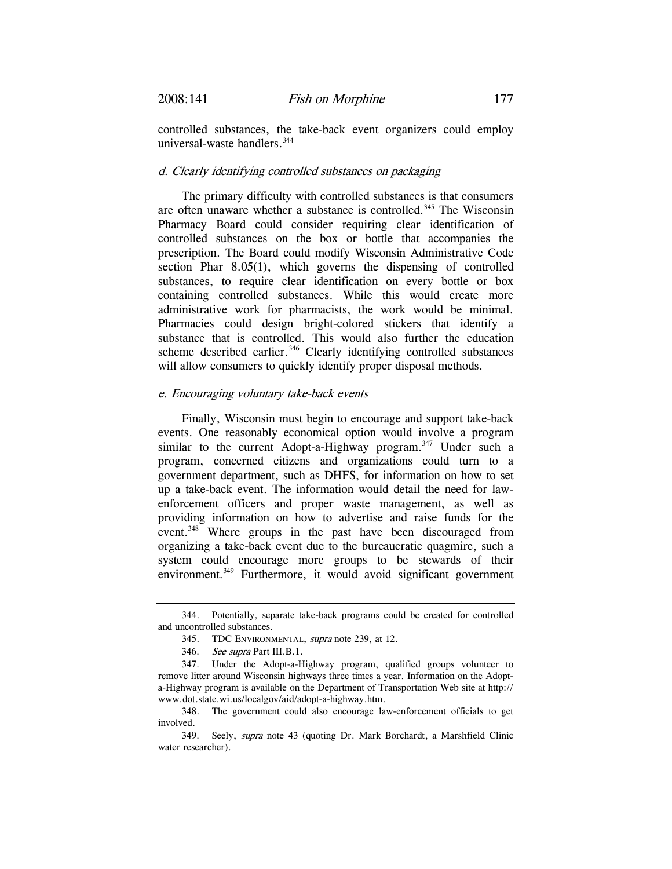controlled substances, the take-back event organizers could employ universal-waste handlers.<sup>344</sup>

#### d. Clearly identifying controlled substances on packaging

The primary difficulty with controlled substances is that consumers are often unaware whether a substance is controlled.<sup>345</sup> The Wisconsin Pharmacy Board could consider requiring clear identification of controlled substances on the box or bottle that accompanies the prescription. The Board could modify Wisconsin Administrative Code section Phar 8.05(1), which governs the dispensing of controlled substances, to require clear identification on every bottle or box containing controlled substances. While this would create more administrative work for pharmacists, the work would be minimal. Pharmacies could design bright-colored stickers that identify a substance that is controlled. This would also further the education scheme described earlier.<sup>346</sup> Clearly identifying controlled substances will allow consumers to quickly identify proper disposal methods.

#### e. Encouraging voluntary take-back events

Finally, Wisconsin must begin to encourage and support take-back events. One reasonably economical option would involve a program similar to the current Adopt-a-Highway program.<sup>347</sup> Under such a program, concerned citizens and organizations could turn to a government department, such as DHFS, for information on how to set up a take-back event. The information would detail the need for lawenforcement officers and proper waste management, as well as providing information on how to advertise and raise funds for the event.<sup>348</sup> Where groups in the past have been discouraged from organizing a take-back event due to the bureaucratic quagmire, such a system could encourage more groups to be stewards of their environment.<sup>349</sup> Furthermore, it would avoid significant government

 <sup>344.</sup> Potentially, separate take-back programs could be created for controlled and uncontrolled substances.

<sup>345.</sup> TDC ENVIRONMENTAL, supra note 239, at 12.

<sup>346.</sup> See supra Part III.B.1.

 <sup>347.</sup> Under the Adopt-a-Highway program, qualified groups volunteer to remove litter around Wisconsin highways three times a year. Information on the Adopta-Highway program is available on the Department of Transportation Web site at http:// www.dot.state.wi.us/localgov/aid/adopt-a-highway.htm.

 <sup>348.</sup> The government could also encourage law-enforcement officials to get involved.

 <sup>349.</sup> Seely, supra note 43 (quoting Dr. Mark Borchardt, a Marshfield Clinic water researcher).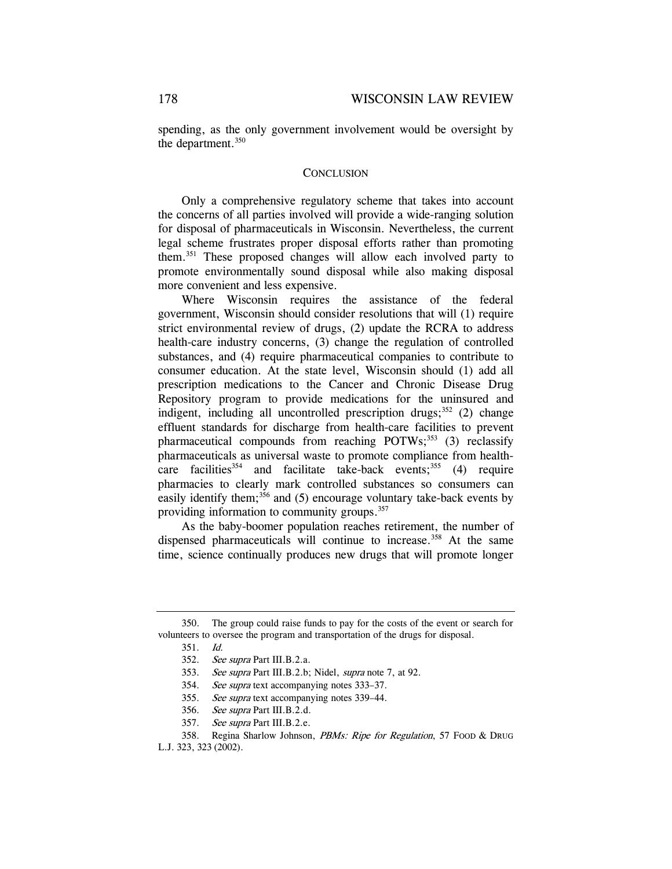spending, as the only government involvement would be oversight by the department.<sup>350</sup>

#### **CONCLUSION**

Only a comprehensive regulatory scheme that takes into account the concerns of all parties involved will provide a wide-ranging solution for disposal of pharmaceuticals in Wisconsin. Nevertheless, the current legal scheme frustrates proper disposal efforts rather than promoting them.351 These proposed changes will allow each involved party to promote environmentally sound disposal while also making disposal more convenient and less expensive.

Where Wisconsin requires the assistance of the federal government, Wisconsin should consider resolutions that will (1) require strict environmental review of drugs, (2) update the RCRA to address health-care industry concerns, (3) change the regulation of controlled substances, and (4) require pharmaceutical companies to contribute to consumer education. At the state level, Wisconsin should (1) add all prescription medications to the Cancer and Chronic Disease Drug Repository program to provide medications for the uninsured and indigent, including all uncontrolled prescription drugs; $352$  (2) change effluent standards for discharge from health-care facilities to prevent pharmaceutical compounds from reaching  $POTWs$ ;  $353$  (3) reclassify pharmaceuticals as universal waste to promote compliance from healthcare facilities<sup>354</sup> and facilitate take-back events;<sup>355</sup> (4) require pharmacies to clearly mark controlled substances so consumers can easily identify them;<sup>356</sup> and (5) encourage voluntary take-back events by providing information to community groups.<sup>357</sup>

As the baby-boomer population reaches retirement, the number of dispensed pharmaceuticals will continue to increase.<sup>358</sup> At the same time, science continually produces new drugs that will promote longer

 <sup>350.</sup> The group could raise funds to pay for the costs of the event or search for volunteers to oversee the program and transportation of the drugs for disposal.

<sup>351.</sup> Id.

<sup>352.</sup> See supra Part III.B.2.a.

<sup>353.</sup> See supra Part III.B.2.b; Nidel, supra note 7, at 92.

<sup>354.</sup> See supra text accompanying notes 333–37.

<sup>355.</sup> See supra text accompanying notes 339–44.

<sup>356.</sup> See supra Part III.B.2.d.

<sup>357.</sup> See supra Part III.B.2.e.

<sup>358.</sup> Regina Sharlow Johnson, *PBMs: Ripe for Regulation*, 57 Food & Drug L.J. 323, 323 (2002).